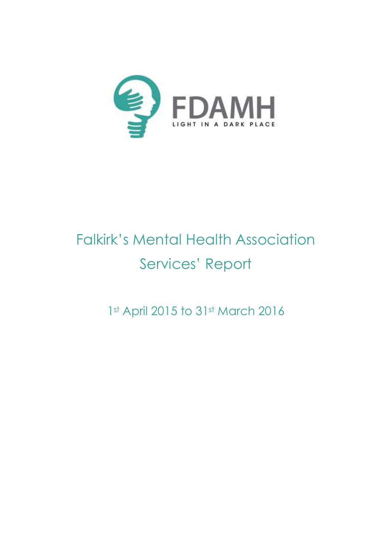

# Falkirk's Mental Health Association Services' Report

1st April 2015 to 31st March 2016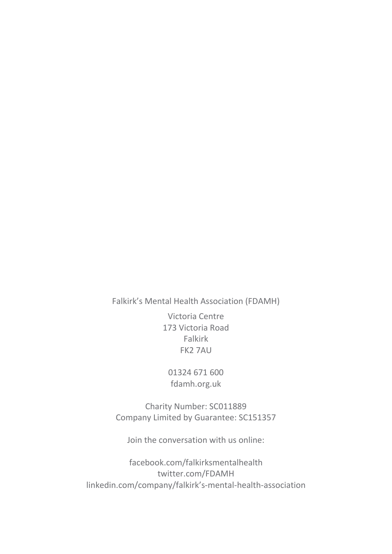Falkirk's Mental Health Association (FDAMH)

Victoria Centre 173 Victoria Road Falkirk FK2 7AU

01324 671 600 fdamh.org.uk

Charity Number: SC011889 Company Limited by Guarantee: SC151357

Join the conversation with us online:

[facebook.com/falkirksmentalhealth](https://www.facebook.com/falkirksmentalhealth) twitter.com/FDAMH [linkedin.com/company/falkirk's](https://www.linkedin.com/company/falkirk)-mental-health-association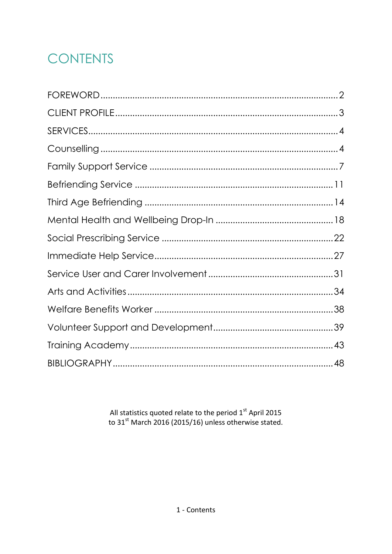# **CONTENTS**

All statistics quoted relate to the period  $1^{st}$  April 2015<br>to 31<sup>st</sup> March 2016 (2015/16) unless otherwise stated.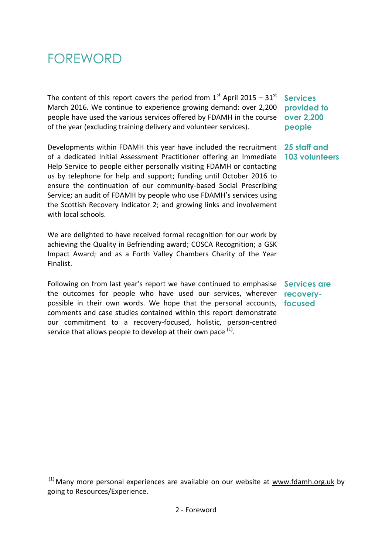# <span id="page-3-0"></span>FOREWORD

The content of this report covers the period from  $1<sup>st</sup>$  April 2015 –  $31<sup>st</sup>$ March 2016. We continue to experience growing demand: over 2,200 people have used the various services offered by FDAMH in the course **over 2,200** of the year (excluding training delivery and volunteer services).

Developments within FDAMH this year have included the recruitment **25 staff and**  of a dedicated Initial Assessment Practitioner offering an Immediate **103 volunteers**  Help Service to people either personally visiting FDAMH or contacting us by telephone for help and support; funding until October 2016 to ensure the continuation of our community-based Social Prescribing Service; an audit of FDAMH by people who use FDAMH's services using the Scottish Recovery Indicator 2; and growing links and involvement with local schools.

We are delighted to have received formal recognition for our work by achieving the Quality in Befriending award; COSCA Recognition; a GSK Impact Award; and as a Forth Valley Chambers Charity of the Year Finalist.

Following on from last year's report we have continued to emphasise **Services are**  the outcomes for people who have used our services, wherever **recovery**possible in their own words. We hope that the personal accounts, **focused** comments and case studies contained within this report demonstrate our commitment to a recovery-focused, holistic, person-centred service that allows people to develop at their own pace  $<sup>(1)</sup>$ .</sup>

**Services provided to people**

 $<sup>(1)</sup>$  Many more personal experiences are available on our website at [www.fdamh.org.uk](http://www.fdamh.org.uk/frm_display/experience) by</sup> going to Resources/Experience.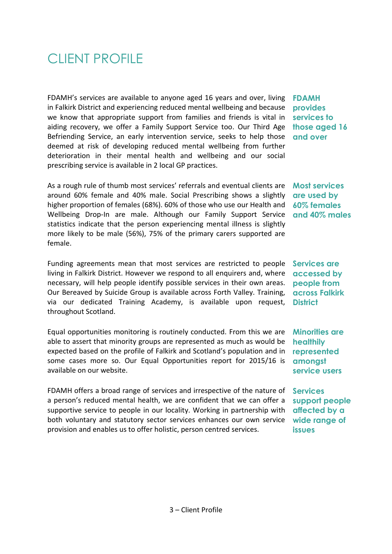# <span id="page-4-0"></span>CLIENT PROFILE

FDAMH's services are available to anyone aged 16 years and over, living in Falkirk District and experiencing reduced mental wellbeing and because we know that appropriate support from families and friends is vital in aiding recovery, we offer a Family Support Service too. Our Third Age Befriending Service, an early intervention service, seeks to help those deemed at risk of developing reduced mental wellbeing from further deterioration in their mental health and wellbeing and our social prescribing service is available in 2 local GP practices.

As a rough rule of thumb most services' referrals and eventual clients are around 60% female and 40% male. Social Prescribing shows a slightly higher proportion of females (68%). 60% of those who use our Health and Wellbeing Drop-In are male. Although our Family Support Service statistics indicate that the person experiencing mental illness is slightly more likely to be male (56%), 75% of the primary carers supported are female.

Funding agreements mean that most services are restricted to people living in Falkirk District. However we respond to all enquirers and, where necessary, will help people identify possible services in their own areas. Our Bereaved by Suicide Group is available across Forth Valley. Training, via our dedicated Training Academy, is available upon request, throughout Scotland.

Equal opportunities monitoring is routinely conducted. From this we are able to assert that minority groups are represented as much as would be expected based on the profile of Falkirk and Scotland's population and in some cases more so. Our Equal Opportunities report for 2015/16 is available on our website.

FDAMH offers a broad range of services and irrespective of the nature of a person's reduced mental health, we are confident that we can offer a supportive service to people in our locality. Working in partnership with both voluntary and statutory sector services enhances our own service provision and enables us to offer holistic, person centred services.

**FDAMH provides services to those aged 16 and over**

**Most services are used by 60% females and 40% males**

**Services are accessed by people from across Falkirk District**

**Minorities are healthily represented amongst service users**

**Services support people affected by a wide range of issues**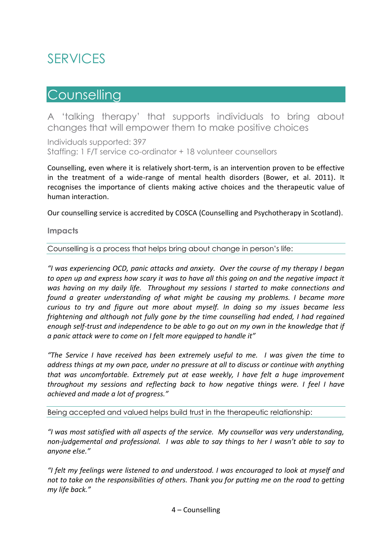# <span id="page-5-0"></span>SERVICES

# <span id="page-5-1"></span>**Counselling**

A 'talking therapy' that supports individuals to bring about changes that will empower them to make positive choices

Individuals supported: 397 Staffing: 1 F/T service co-ordinator + 18 volunteer counsellors

Counselling, even where it is relatively short-term, is an intervention proven to be effective in the treatment of a wide-range of mental health disorders (Bower, et al. 2011). It recognises the importance of clients making active choices and the therapeutic value of human interaction.

Our counselling service is accredited by COSCA (Counselling and Psychotherapy in Scotland).

**Impacts**

Counselling is a process that helps bring about change in person's life:

*"I was experiencing OCD, panic attacks and anxiety. Over the course of my therapy I began to open up and express how scary it was to have all this going on and the negative impact it was having on my daily life. Throughout my sessions I started to make connections and found a greater understanding of what might be causing my problems. I became more curious to try and figure out more about myself. In doing so my issues became less frightening and although not fully gone by the time counselling had ended, I had regained enough self-trust and independence to be able to go out on my own in the knowledge that if a panic attack were to come on I felt more equipped to handle it"* 

*"The Service I have received has been extremely useful to me. I was given the time to address things at my own pace, under no pressure at all to discuss or continue with anything that was uncomfortable. Extremely put at ease weekly, I have felt a huge improvement throughout my sessions and reflecting back to how negative things were. I feel I have achieved and made a lot of progress."*

Being accepted and valued helps build trust in the therapeutic relationship:

*"I was most satisfied with all aspects of the service. My counsellor was very understanding, non-judgemental and professional. I was able to say things to her I wasn't able to say to anyone else."*

*"I felt my feelings were listened to and understood. I was encouraged to look at myself and not to take on the responsibilities of others. Thank you for putting me on the road to getting my life back."*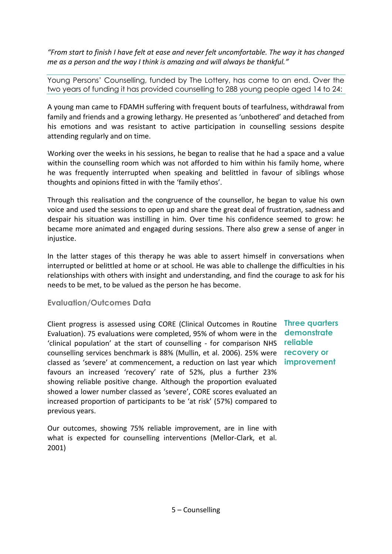*"From start to finish I have felt at ease and never felt uncomfortable. The way it has changed me as a person and the way I think is amazing and will always be thankful."*

Young Persons' Counselling, funded by The Lottery, has come to an end. Over the two years of funding it has provided counselling to 288 young people aged 14 to 24:

A young man came to FDAMH suffering with frequent bouts of tearfulness, withdrawal from family and friends and a growing lethargy. He presented as 'unbothered' and detached from his emotions and was resistant to active participation in counselling sessions despite attending regularly and on time.

Working over the weeks in his sessions, he began to realise that he had a space and a value within the counselling room which was not afforded to him within his family home, where he was frequently interrupted when speaking and belittled in favour of siblings whose thoughts and opinions fitted in with the 'family ethos'.

Through this realisation and the congruence of the counsellor, he began to value his own voice and used the sessions to open up and share the great deal of frustration, sadness and despair his situation was instilling in him. Over time his confidence seemed to grow: he became more animated and engaged during sessions. There also grew a sense of anger in injustice.

In the latter stages of this therapy he was able to assert himself in conversations when interrupted or belittled at home or at school. He was able to challenge the difficulties in his relationships with others with insight and understanding, and find the courage to ask for his needs to be met, to be valued as the person he has become.

#### **Evaluation/Outcomes Data**

Client progress is assessed using CORE (Clinical Outcomes in Routine **Three quarters**  Evaluation). 75 evaluations were completed, 95% of whom were in the 'clinical population' at the start of counselling - for comparison NHS counselling services benchmark is 88% (Mullin, et al. 2006). 25% were classed as 'severe' at commencement, a reduction on last year which **improvement**favours an increased 'recovery' rate of 52%, plus a further 23% showing reliable positive change. Although the proportion evaluated showed a lower number classed as 'severe', CORE scores evaluated an increased proportion of participants to be 'at risk' (57%) compared to previous years.

Our outcomes, showing 75% reliable improvement, are in line with what is expected for counselling interventions (Mellor-Clark, et al. 2001)

**demonstrate reliable recovery or**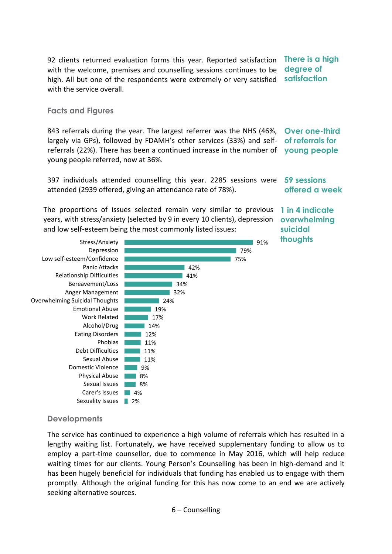92 clients returned evaluation forms this year. Reported satisfaction with the welcome, premises and counselling sessions continues to be high. All but one of the respondents were extremely or very satisfied with the service overall. **There is a high degree of satisfaction** 

#### **Facts and Figures**

843 referrals during the year. The largest referrer was the NHS (46%, largely via GPs), followed by FDAMH's other services (33%) and selfreferrals (22%). There has been a continued increase in the number of young people referred, now at 36%. **Over one-third of referrals for young people**

397 individuals attended counselling this year. 2285 sessions were **59 sessions**  attended (2939 offered, giving an attendance rate of 78%). **offered a week**

The proportions of issues selected remain very similar to previous years, with stress/anxiety (selected by 9 in every 10 clients), depression and low self-esteem being the most commonly listed issues:



**1 in 4 indicate overwhelming suicidal thoughts**

#### **Developments**

The service has continued to experience a high volume of referrals which has resulted in a lengthy waiting list. Fortunately, we have received supplementary funding to allow us to employ a part-time counsellor, due to commence in May 2016, which will help reduce waiting times for our clients. Young Person's Counselling has been in high-demand and it has been hugely beneficial for individuals that funding has enabled us to engage with them promptly. Although the original funding for this has now come to an end we are actively seeking alternative sources.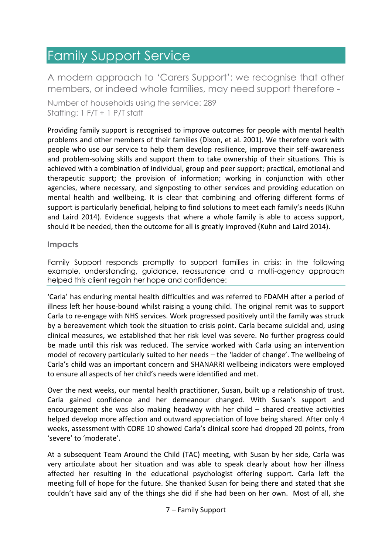# <span id="page-8-0"></span>Family Support Service

A modern approach to 'Carers Support': we recognise that other members, or indeed whole families, may need support therefore -

Number of households using the service: 289 Staffing: 1 F/T + 1 P/T staff

Providing family support is recognised to improve outcomes for people with mental health problems and other members of their families (Dixon, et al. 2001). We therefore work with people who use our service to help them develop resilience, improve their self-awareness and problem-solving skills and support them to take ownership of their situations. This is achieved with a combination of individual, group and peer support; practical, emotional and therapeutic support; the provision of information; working in conjunction with other agencies, where necessary, and signposting to other services and providing education on mental health and wellbeing. It is clear that combining and offering different forms of support is particularly beneficial, helping to find solutions to meet each family's needs (Kuhn and Laird 2014). Evidence suggests that where a whole family is able to access support, should it be needed, then the outcome for all is greatly improved (Kuhn and Laird 2014).

#### **Impacts**

Family Support responds promptly to support families in crisis: in the following example, understanding, guidance, reassurance and a multi-agency approach helped this client regain her hope and confidence:

'Carla' has enduring mental health difficulties and was referred to FDAMH after a period of illness left her house-bound whilst raising a young child. The original remit was to support Carla to re-engage with NHS services. Work progressed positively until the family was struck by a bereavement which took the situation to crisis point. Carla became suicidal and, using clinical measures, we established that her risk level was severe. No further progress could be made until this risk was reduced. The service worked with Carla using an intervention model of recovery particularly suited to her needs – the 'ladder of change'. The wellbeing of Carla's child was an important concern and SHANARRI wellbeing indicators were employed to ensure all aspects of her child's needs were identified and met.

Over the next weeks, our mental health practitioner, Susan, built up a relationship of trust. Carla gained confidence and her demeanour changed. With Susan's support and encouragement she was also making headway with her child – shared creative activities helped develop more affection and outward appreciation of love being shared. After only 4 weeks, assessment with CORE 10 showed Carla's clinical score had dropped 20 points, from 'severe' to 'moderate'.

At a subsequent Team Around the Child (TAC) meeting, with Susan by her side, Carla was very articulate about her situation and was able to speak clearly about how her illness affected her resulting in the educational psychologist offering support. Carla left the meeting full of hope for the future. She thanked Susan for being there and stated that she couldn't have said any of the things she did if she had been on her own. Most of all, she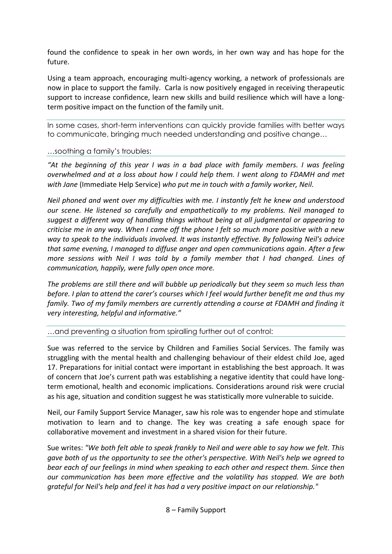found the confidence to speak in her own words, in her own way and has hope for the future.

Using a team approach, encouraging multi-agency working, a network of professionals are now in place to support the family. Carla is now positively engaged in receiving therapeutic support to increase confidence, learn new skills and build resilience which will have a longterm positive impact on the function of the family unit.

In some cases, short-term interventions can quickly provide families with better ways to communicate, bringing much needed understanding and positive change…

#### …soothing a family's troubles:

*"At the beginning of this year I was in a bad place with family members. I was feeling overwhelmed and at a loss about how I could help them. I went along to FDAMH and met with Jane* (Immediate Help Service) *who put me in touch with a family worker, Neil.*

*Neil phoned and went over my difficulties with me. I instantly felt he knew and understood our scene. He listened so carefully and empathetically to my problems. Neil managed to suggest a different way of handling things without being at all judgmental or appearing to criticise me in any way. When I came off the phone I felt so much more positive with a new way to speak to the individuals involved. It was instantly effective. By following Neil's advice that same evening, I managed to diffuse anger and open communications again. After a few more sessions with Neil I was told by a family member that I had changed. Lines of communication, happily, were fully open once more.*

*The problems are still there and will bubble up periodically but they seem so much less than before. I plan to attend the carer's courses which I feel would further benefit me and thus my family. Two of my family members are currently attending a course at FDAMH and finding it very interesting, helpful and informative."*

…and preventing a situation from spiralling further out of control:

Sue was referred to the service by Children and Families Social Services. The family was struggling with the mental health and challenging behaviour of their eldest child Joe, aged 17. Preparations for initial contact were important in establishing the best approach. It was of concern that Joe's current path was establishing a negative identity that could have longterm emotional, health and economic implications. Considerations around risk were crucial as his age, situation and condition suggest he was statistically more vulnerable to suicide.

Neil, our Family Support Service Manager, saw his role was to engender hope and stimulate motivation to learn and to change. The key was creating a safe enough space for collaborative movement and investment in a shared vision for their future.

Sue writes: *"We both felt able to speak frankly to Neil and were able to say how we felt. This gave both of us the opportunity to see the other's perspective. With Neil's help we agreed to bear each of our feelings in mind when speaking to each other and respect them. Since then our communication has been more effective and the volatility has stopped. We are both grateful for Neil's help and feel it has had a very positive impact on our relationship."*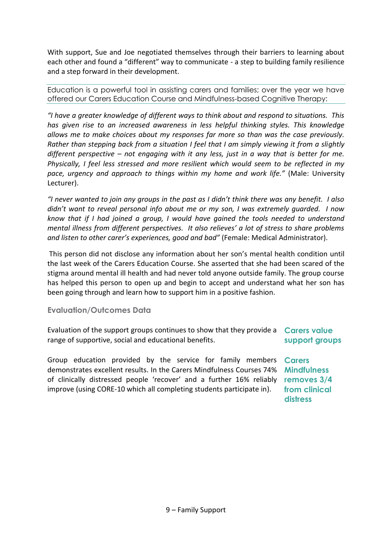With support, Sue and Joe negotiated themselves through their barriers to learning about each other and found a "different" way to communicate - a step to building family resilience and a step forward in their development.

Education is a powerful tool in assisting carers and families; over the year we have offered our Carers Education Course and Mindfulness-based Cognitive Therapy:

*"I have a greater knowledge of different ways to think about and respond to situations. This has given rise to an increased awareness in less helpful thinking styles. This knowledge allows me to make choices about my responses far more so than was the case previously. Rather than stepping back from a situation I feel that I am simply viewing it from a slightly different perspective – not engaging with it any less, just in a way that is better for me. Physically, I feel less stressed and more resilient which would seem to be reflected in my pace, urgency and approach to things within my home and work life."* (Male: University Lecturer).

*"I never wanted to join any groups in the past as I didn't think there was any benefit. I also didn't want to reveal personal info about me or my son, I was extremely guarded. I now know that if I had joined a group, I would have gained the tools needed to understand mental illness from different perspectives. It also relieves' a lot of stress to share problems and listen to other carer's experiences, good and bad"* (Female: Medical Administrator).

This person did not disclose any information about her son's mental health condition until the last week of the Carers Education Course. She asserted that she had been scared of the stigma around mental ill health and had never told anyone outside family. The group course has helped this person to open up and begin to accept and understand what her son has been going through and learn how to support him in a positive fashion.

### **Evaluation/Outcomes Data**

Evaluation of the support groups continues to show that they provide a **Carers value**  range of supportive, social and educational benefits. **support groups** 

Group education provided by the service for family members **Carers**  demonstrates excellent results. In the Carers Mindfulness Courses 74% **Mindfulness**  of clinically distressed people 'recover' and a further 16% reliably **removes 3/4**  improve (using CORE-10 which all completing students participate in).

**from clinical distress**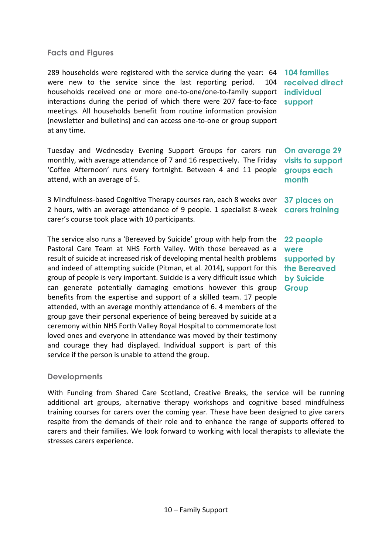#### **Facts and Figures**

289 households were registered with the service during the year: 64 were new to the service since the last reporting period. 104 households received one or more one-to-one/one-to-family support **individual**  interactions during the period of which there were 207 face-to-face **support** meetings. All households benefit from routine information provision (newsletter and bulletins) and can access one-to-one or group support at any time.

Tuesday and Wednesday Evening Support Groups for carers run monthly, with average attendance of 7 and 16 respectively. The Friday 'Coffee Afternoon' runs every fortnight. Between 4 and 11 people attend, with an average of 5.

3 Mindfulness-based Cognitive Therapy courses ran, each 8 weeks over **37 places on**  2 hours, with an average attendance of 9 people. 1 specialist 8-week **carers training**  carer's course took place with 10 participants.

The service also runs a 'Bereaved by Suicide' group with help from the Pastoral Care Team at NHS Forth Valley. With those bereaved as a result of suicide at increased risk of developing mental health problems and indeed of attempting suicide (Pitman, et al. 2014), support for this group of people is very important. Suicide is a very difficult issue which can generate potentially damaging emotions however this group benefits from the expertise and support of a skilled team. 17 people attended, with an average monthly attendance of 6. 4 members of the group gave their personal experience of being bereaved by suicide at a ceremony within NHS Forth Valley Royal Hospital to commemorate lost loved ones and everyone in attendance was moved by their testimony and courage they had displayed. Individual support is part of this service if the person is unable to attend the group.

#### **Developments**

With Funding from Shared Care Scotland, Creative Breaks, the service will be running additional art groups, alternative therapy workshops and cognitive based mindfulness training courses for carers over the coming year. These have been designed to give carers respite from the demands of their role and to enhance the range of supports offered to carers and their families. We look forward to working with local therapists to alleviate the stresses carers experience.

**104 families received direct** 

**On average 29 visits to support groups each month**

**22 people were supported by the Bereaved by Suicide Group**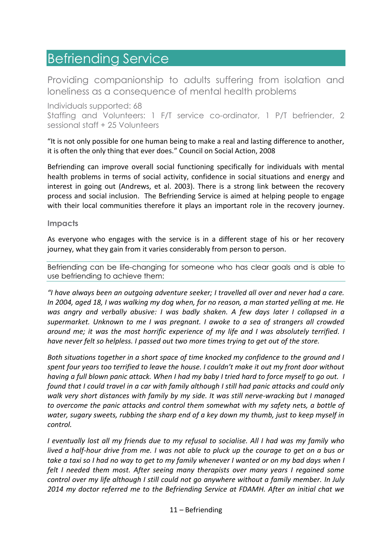## <span id="page-12-0"></span>Befriending Service

Providing companionship to adults suffering from isolation and loneliness as a consequence of mental health problems

Individuals supported: 68 Staffing and Volunteers: 1 F/T service co-ordinator, 1 P/T befriender, 2 sessional staff + 25 Volunteers

"It is not only possible for one human being to make a real and lasting difference to another, it is often the only thing that ever does." Council on Social Action, 2008

Befriending can improve overall social functioning specifically for individuals with mental health problems in terms of social activity, confidence in social situations and energy and interest in going out (Andrews, et al. 2003). There is a strong link between the recovery process and social inclusion. The Befriending Service is aimed at helping people to engage with their local communities therefore it plays an important role in the recovery journey.

#### **Impacts**

As everyone who engages with the service is in a different stage of his or her recovery journey, what they gain from it varies considerably from person to person.

Befriending can be life-changing for someone who has clear goals and is able to use befriending to achieve them:

*"I have always been an outgoing adventure seeker; I travelled all over and never had a care. In 2004, aged 18, I was walking my dog when, for no reason, a man started yelling at me. He was angry and verbally abusive: I was badly shaken. A few days later I collapsed in a supermarket. Unknown to me I was pregnant. I awoke to a sea of strangers all crowded around me; it was the most horrific experience of my life and I was absolutely terrified. I have never felt so helpless. I passed out two more times trying to get out of the store.*

*Both situations together in a short space of time knocked my confidence to the ground and I spent four years too terrified to leave the house. I couldn't make it out my front door without having a full blown panic attack. When I had my baby I tried hard to force myself to go out. I found that I could travel in a car with family although I still had panic attacks and could only walk very short distances with family by my side. It was still nerve-wracking but I managed to overcome the panic attacks and control them somewhat with my safety nets, a bottle of water, sugary sweets, rubbing the sharp end of a key down my thumb, just to keep myself in control.* 

*I eventually lost all my friends due to my refusal to socialise. All I had was my family who lived a half-hour drive from me. I was not able to pluck up the courage to get on a bus or take a taxi so I had no way to get to my family whenever I wanted or on my bad days when I felt I needed them most. After seeing many therapists over many years I regained some control over my life although I still could not go anywhere without a family member. In July 2014 my doctor referred me to the Befriending Service at FDAMH. After an initial chat we*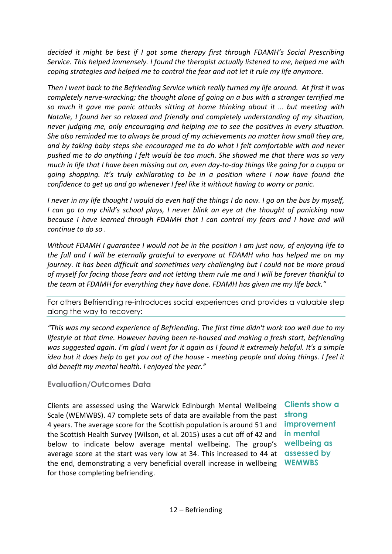*decided it might be best if I got some therapy first through FDAMH's Social Prescribing Service. This helped immensely. I found the therapist actually listened to me, helped me with coping strategies and helped me to control the fear and not let it rule my life anymore.*

*Then I went back to the Befriending Service which really turned my life around. At first it was completely nerve-wracking; the thought alone of going on a bus with a stranger terrified me so much it gave me panic attacks sitting at home thinking about it … but meeting with Natalie, I found her so relaxed and friendly and completely understanding of my situation, never judging me, only encouraging and helping me to see the positives in every situation. She also reminded me to always be proud of my achievements no matter how small they are, and by taking baby steps she encouraged me to do what I felt comfortable with and never pushed me to do anything I felt would be too much. She showed me that there was so very much in life that I have been missing out on, even day-to-day things like going for a cuppa or going shopping. It's truly exhilarating to be in a position where I now have found the confidence to get up and go whenever I feel like it without having to worry or panic.*

*I never in my life thought I would do even half the things I do now. I go on the bus by myself, I can go to my child's school plays, I never blink an eye at the thought of panicking now because I have learned through FDAMH that I can control my fears and I have and will continue to do so .*

*Without FDAMH I guarantee I would not be in the position I am just now, of enjoying life to the full and I will be eternally grateful to everyone at FDAMH who has helped me on my journey. It has been difficult and sometimes very challenging but I could not be more proud of myself for facing those fears and not letting them rule me and I will be forever thankful to the team at FDAMH for everything they have done. FDAMH has given me my life back."*

For others Befriending re-introduces social experiences and provides a valuable step along the way to recovery:

*"This was my second experience of Befriending. The first time didn't work too well due to my lifestyle at that time. However having been re-housed and making a fresh start, befriending was suggested again. I'm glad I went for it again as I found it extremely helpful. It's a simple idea but it does help to get you out of the house - meeting people and doing things. I feel it did benefit my mental health. I enjoyed the year."*

### **Evaluation/Outcomes Data**

Clients are assessed using the Warwick Edinburgh Mental Wellbeing Scale (WEMWBS). 47 complete sets of data are available from the past 4 years. The average score for the Scottish population is around 51 and the Scottish Health Survey (Wilson, et al. 2015) uses a cut off of 42 and below to indicate below average mental wellbeing. The group's **wellbeing as**  average score at the start was very low at 34. This increased to 44 at **assessed by**  the end, demonstrating a very beneficial overall increase in wellbeing **WEMWBS**for those completing befriending.

**Clients show a strong improvement in mental**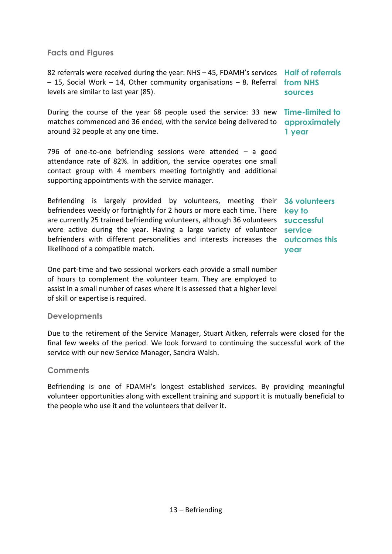### **Facts and Figures**

82 referrals were received during the year: NHS – 45, FDAMH's services **Half of referrals**  – 15, Social Work – 14, Other community organisations – 8. Referral **from NHS**  levels are similar to last year (85).

During the course of the year 68 people used the service: 33 new **Time-limited to**  matches commenced and 36 ended, with the service being delivered to **approximately**  around 32 people at any one time.

796 of one-to-one befriending sessions were attended – a good attendance rate of 82%. In addition, the service operates one small contact group with 4 members meeting fortnightly and additional supporting appointments with the service manager.

Befriending is largely provided by volunteers, meeting their **36 volunteers**  befriendees weekly or fortnightly for 2 hours or more each time. There **key to**  are currently 25 trained befriending volunteers, although 36 volunteers **successful**  were active during the year. Having a large variety of volunteer **service** befrienders with different personalities and interests increases the **outcomes this**  likelihood of a compatible match.

One part-time and two sessional workers each provide a small number of hours to complement the volunteer team. They are employed to assist in a small number of cases where it is assessed that a higher level of skill or expertise is required.

#### **Developments**

Due to the retirement of the Service Manager, Stuart Aitken, referrals were closed for the final few weeks of the period. We look forward to continuing the successful work of the service with our new Service Manager, Sandra Walsh.

#### **Comments**

Befriending is one of FDAMH's longest established services. By providing meaningful volunteer opportunities along with excellent training and support it is mutually beneficial to the people who use it and the volunteers that deliver it.

**sources**

**1 year**

**year**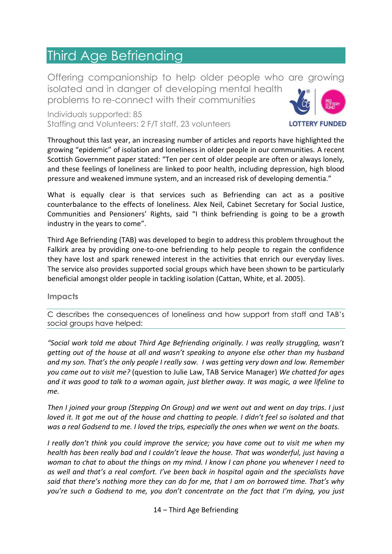### <span id="page-15-0"></span>Third Age Befriending

Offering companionship to help older people who are growing isolated and in danger of developing mental health problems to re-connect with their communities

Individuals supported: 85 Staffing and Volunteers: 2 F/T staff, 23 volunteers



Throughout this last year, an increasing number of articles and reports have highlighted the growing "epidemic" of isolation and loneliness in older people in our communities. A recent Scottish Government paper stated: "Ten per cent of older people are often or always lonely, and these feelings of loneliness are linked to poor health, including depression, high blood pressure and weakened immune system, and an increased risk of developing dementia."

What is equally clear is that services such as Befriending can act as a positive counterbalance to the effects of loneliness. Alex Neil, Cabinet Secretary for Social Justice, Communities and Pensioners' Rights, said "I think befriending is going to be a growth industry in the years to come".

Third Age Befriending (TAB) was developed to begin to address this problem throughout the Falkirk area by providing one-to-one befriending to help people to regain the confidence they have lost and spark renewed interest in the activities that enrich our everyday lives. The service also provides supported social groups which have been shown to be particularly beneficial amongst older people in tackling isolation (Cattan, White, et al. 2005).

#### **Impacts**

C describes the consequences of loneliness and how support from staff and TAB's social groups have helped:

*"Social work told me about Third Age Befriending originally. I was really struggling, wasn't getting out of the house at all and wasn't speaking to anyone else other than my husband and my son. That's the only people I really saw. I was getting very down and low. Remember you came out to visit me?* (question to Julie Law, TAB Service Manager) *We chatted for ages and it was good to talk to a woman again, just blether away. It was magic, a wee lifeline to me.*

*Then I joined your group (Stepping On Group) and we went out and went on day trips. I just loved it. It got me out of the house and chatting to people. I didn't feel so isolated and that was a real Godsend to me. I loved the trips, especially the ones when we went on the boats.*

*I really don't think you could improve the service; you have come out to visit me when my health has been really bad and I couldn't leave the house. That was wonderful, just having a woman to chat to about the things on my mind. I know I can phone you whenever I need to as well and that's a real comfort. I've been back in hospital again and the specialists have said that there's nothing more they can do for me, that I am on borrowed time. That's why you're such a Godsend to me, you don't concentrate on the fact that I'm dying, you just*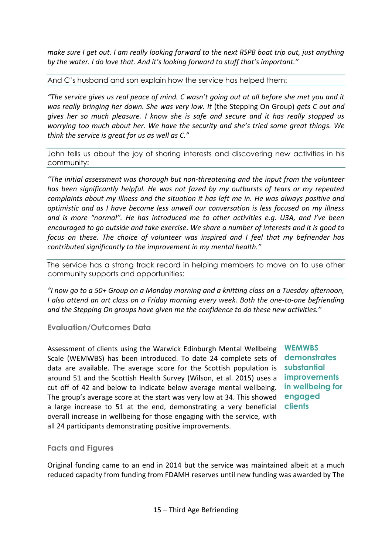*make sure I get out. I am really looking forward to the next RSPB boat trip out, just anything by the water. I do love that. And it's looking forward to stuff that's important."*

And C's husband and son explain how the service has helped them:

*"The service gives us real peace of mind. C wasn't going out at all before she met you and it was really bringing her down. She was very low. It* (the Stepping On Group) *gets C out and gives her so much pleasure. I know she is safe and secure and it has really stopped us worrying too much about her. We have the security and she's tried some great things. We think the service is great for us as well as C."*

John tells us about the joy of sharing interests and discovering new activities in his community:

*"The initial assessment was thorough but non-threatening and the input from the volunteer has been significantly helpful. He was not fazed by my outbursts of tears or my repeated complaints about my illness and the situation it has left me in. He was always positive and optimistic and as I have become less unwell our conversation is less focused on my illness and is more "normal". He has introduced me to other activities e.g. U3A, and I've been encouraged to go outside and take exercise. We share a number of interests and it is good to focus on these. The choice of volunteer was inspired and I feel that my befriender has contributed significantly to the improvement in my mental health."*

The service has a strong track record in helping members to move on to use other community supports and opportunities:

*"I now go to a 50+ Group on a Monday morning and a knitting class on a Tuesday afternoon, I also attend an art class on a Friday morning every week. Both the one-to-one befriending and the Stepping On groups have given me the confidence to do these new activities."*

**Evaluation/Outcomes Data**

Assessment of clients using the Warwick Edinburgh Mental Wellbeing Scale (WEMWBS) has been introduced. To date 24 complete sets of data are available. The average score for the Scottish population is around 51 and the Scottish Health Survey (Wilson, et al. 2015) uses a cut off of 42 and below to indicate below average mental wellbeing. The group's average score at the start was very low at 34. This showed **engaged**  a large increase to 51 at the end, demonstrating a very beneficial **clients** overall increase in wellbeing for those engaging with the service, with all 24 participants demonstrating positive improvements.

**WEMWBS demonstrates substantial improvements in wellbeing for** 

#### **Facts and Figures**

Original funding came to an end in 2014 but the service was maintained albeit at a much reduced capacity from funding from FDAMH reserves until new funding was awarded by The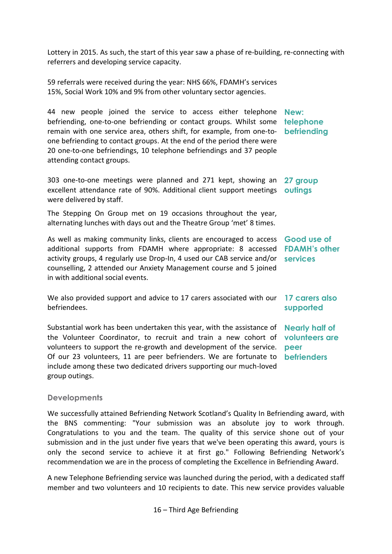Lottery in 2015. As such, the start of this year saw a phase of re-building, re-connecting with referrers and developing service capacity.

59 referrals were received during the year: NHS 66%, FDAMH's services 15%, Social Work 10% and 9% from other voluntary sector agencies.

44 new people joined the service to access either telephone **New:**  befriending, one-to-one befriending or contact groups. Whilst some **telephone**  remain with one service area, others shift, for example, from one-to-**befriending** one befriending to contact groups. At the end of the period there were 20 one-to-one befriendings, 10 telephone befriendings and 37 people attending contact groups.

303 one-to-one meetings were planned and 271 kept, showing an excellent attendance rate of 90%. Additional client support meetings **outings** were delivered by staff. **27 group** 

The Stepping On Group met on 19 occasions throughout the year, alternating lunches with days out and the Theatre Group 'met' 8 times.

As well as making community links, clients are encouraged to access **Good use of**  additional supports from FDAMH where appropriate: 8 accessed **FDAMH's other**  activity groups, 4 regularly use Drop-In, 4 used our CAB service and/or **services** counselling, 2 attended our Anxiety Management course and 5 joined in with additional social events.

We also provided support and advice to 17 carers associated with our **17 carers also**  befriendees. **supported**

Substantial work has been undertaken this year, with the assistance of the Volunteer Coordinator, to recruit and train a new cohort of **volunteers are**  volunteers to support the re-growth and development of the service. Of our 23 volunteers, 11 are peer befrienders. We are fortunate to **befrienders** include among these two dedicated drivers supporting our much-loved group outings. **Nearly half of peer** 

#### **Developments**

We successfully attained Befriending Network Scotland's Quality In Befriending award, with the BNS commenting: "Your submission was an absolute joy to work through. Congratulations to you and the team. The quality of this service shone out of your submission and in the just under five years that we've been operating this award, yours is only the second service to achieve it at first go." Following Befriending Network's recommendation we are in the process of completing the Excellence in Befriending Award.

A new Telephone Befriending service was launched during the period, with a dedicated staff member and two volunteers and 10 recipients to date. This new service provides valuable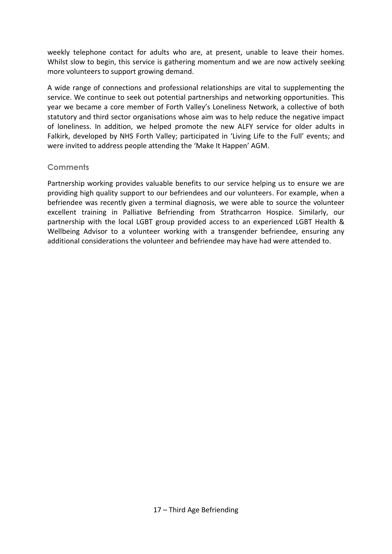weekly telephone contact for adults who are, at present, unable to leave their homes. Whilst slow to begin, this service is gathering momentum and we are now actively seeking more volunteers to support growing demand.

A wide range of connections and professional relationships are vital to supplementing the service. We continue to seek out potential partnerships and networking opportunities. This year we became a core member of Forth Valley's Loneliness Network, a collective of both statutory and third sector organisations whose aim was to help reduce the negative impact of loneliness. In addition, we helped promote the new ALFY service for older adults in Falkirk, developed by NHS Forth Valley; participated in 'Living Life to the Full' events; and were invited to address people attending the 'Make It Happen' AGM.

### **Comments**

Partnership working provides valuable benefits to our service helping us to ensure we are providing high quality support to our befriendees and our volunteers. For example, when a befriendee was recently given a terminal diagnosis, we were able to source the volunteer excellent training in Palliative Befriending from Strathcarron Hospice. Similarly, our partnership with the local LGBT group provided access to an experienced LGBT Health & Wellbeing Advisor to a volunteer working with a transgender befriendee, ensuring any additional considerations the volunteer and befriendee may have had were attended to.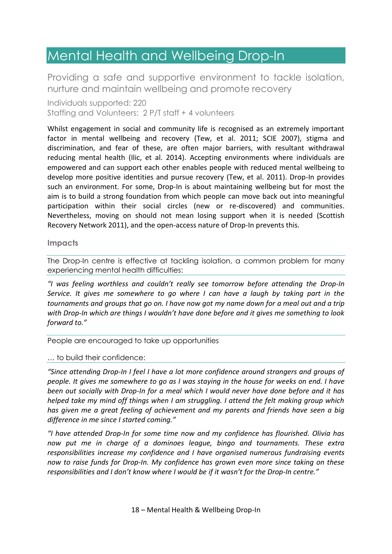# <span id="page-19-0"></span>Mental Health and Wellbeing Drop-In

Providing a safe and supportive environment to tackle isolation, nurture and maintain wellbeing and promote recovery

Individuals supported: 220 Staffing and Volunteers: 2 P/T staff + 4 volunteers

Whilst engagement in social and community life is recognised as an extremely important factor in mental wellbeing and recovery (Tew, et al. 2011; SCIE 2007), stigma and discrimination, and fear of these, are often major barriers, with resultant withdrawal reducing mental health (Ilic, et al. 2014). Accepting environments where individuals are empowered and can support each other enables people with reduced mental wellbeing to develop more positive identities and pursue recovery (Tew, et al. 2011). Drop-In provides such an environment. For some, Drop-In is about maintaining wellbeing but for most the aim is to build a strong foundation from which people can move back out into meaningful participation within their social circles (new or re-discovered) and communities. Nevertheless, moving on should not mean losing support when it is needed (Scottish Recovery Network 2011), and the open-access nature of Drop-In prevents this.

#### **Impacts**

The Drop-In centre is effective at tackling isolation, a common problem for many experiencing mental health difficulties:

*"I was feeling worthless and couldn't really see tomorrow before attending the Drop-In Service. It gives me somewhere to go where I can have a laugh by taking part in the tournaments and groups that go on. I have now got my name down for a meal out and a trip with Drop-In which are things I wouldn't have done before and it gives me something to look forward to."* 

People are encouraged to take up opportunities

… to build their confidence:

*"Since attending Drop-In I feel I have a lot more confidence around strangers and groups of people. It gives me somewhere to go as I was staying in the house for weeks on end. I have been out socially with Drop-In for a meal which I would never have done before and it has helped take my mind off things when I am struggling. I attend the felt making group which has given me a great feeling of achievement and my parents and friends have seen a big difference in me since I started coming."*

*"I have attended Drop-In for some time now and my confidence has flourished. Olivia has now put me in charge of a dominoes league, bingo and tournaments. These extra responsibilities increase my confidence and I have organised numerous fundraising events now to raise funds for Drop-In. My confidence has grown even more since taking on these responsibilities and I don't know where I would be if it wasn't for the Drop-In centre."*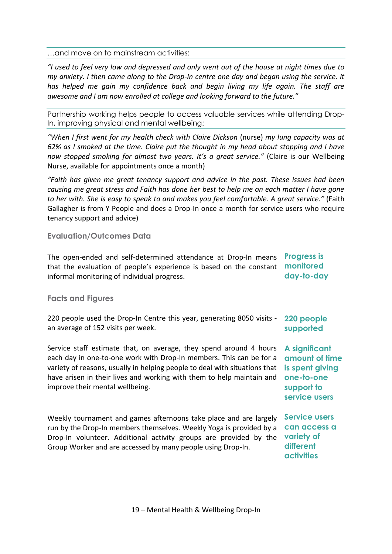…and move on to mainstream activities:

*"I used to feel very low and depressed and only went out of the house at night times due to my anxiety. I then came along to the Drop-In centre one day and began using the service. It has helped me gain my confidence back and begin living my life again. The staff are awesome and I am now enrolled at college and looking forward to the future."*

Partnership working helps people to access valuable services while attending Drop-In, improving physical and mental wellbeing:

*"When I first went for my health check with Claire Dickson (nurse) my lung capacity was at 62% as I smoked at the time. Claire put the thought in my head about stopping and I have now stopped smoking for almost two years. It's a great service."* (Claire is our Wellbeing Nurse, available for appointments once a month)

*"Faith has given me great tenancy support and advice in the past. These issues had been causing me great stress and Faith has done her best to help me on each matter I have gone to her with. She is easy to speak to and makes you feel comfortable. A great service."* (Faith Gallagher is from Y People and does a Drop-In once a month for service users who require tenancy support and advice)

#### **Evaluation/Outcomes Data**

The open-ended and self-determined attendance at Drop-In means **Progress is**  that the evaluation of people's experience is based on the constant **monitored**  informal monitoring of individual progress. **day-to-day**

#### **Facts and Figures**

220 people used the Drop-In Centre this year, generating 8050 visits an average of 152 visits per week. **220 people supported**

Service staff estimate that, on average, they spend around 4 hours each day in one-to-one work with Drop-In members. This can be for a variety of reasons, usually in helping people to deal with situations that **is spent giving**  have arisen in their lives and working with them to help maintain and **one-to-one**  improve their mental wellbeing.

Weekly tournament and games afternoons take place and are largely run by the Drop-In members themselves. Weekly Yoga is provided by a Drop-In volunteer. Additional activity groups are provided by the Group Worker and are accessed by many people using Drop-In.

### **A significant amount of time support to service users**

**Service users can access a variety of different activities**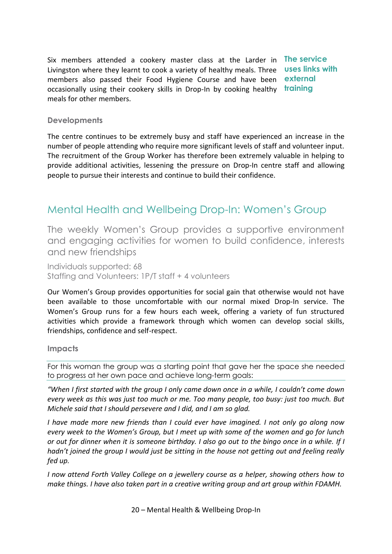Six members attended a cookery master class at the Larder in **The service** Livingston where they learnt to cook a variety of healthy meals. Three **uses links with**  members also passed their Food Hygiene Course and have been **external**  occasionally using their cookery skills in Drop-In by cooking healthy **training** meals for other members.

#### **Developments**

The centre continues to be extremely busy and staff have experienced an increase in the number of people attending who require more significant levels of staff and volunteer input. The recruitment of the Group Worker has therefore been extremely valuable in helping to provide additional activities, lessening the pressure on Drop-In centre staff and allowing people to pursue their interests and continue to build their confidence.

### Mental Health and Wellbeing Drop-In: Women's Group

The weekly Women's Group provides a supportive environment and engaging activities for women to build confidence, interests and new friendships

Individuals supported: 68 Staffing and Volunteers: 1P/T staff + 4 volunteers

Our Women's Group provides opportunities for social gain that otherwise would not have been available to those uncomfortable with our normal mixed Drop-In service. The Women's Group runs for a few hours each week, offering a variety of fun structured activities which provide a framework through which women can develop social skills, friendships, confidence and self-respect.

#### **Impacts**

For this woman the group was a starting point that gave her the space she needed to progress at her own pace and achieve long-term goals:

*"When I first started with the group I only came down once in a while, I couldn't come down every week as this was just too much or me. Too many people, too busy: just too much. But Michele said that I should persevere and I did, and I am so glad.*

*I have made more new friends than I could ever have imagined. I not only go along now every week to the Women's Group, but I meet up with some of the women and go for lunch or out for dinner when it is someone birthday. I also go out to the bingo once in a while. If I hadn't joined the group I would just be sitting in the house not getting out and feeling really fed up.*

*I now attend Forth Valley College on a jewellery course as a helper, showing others how to make things. I have also taken part in a creative writing group and art group within FDAMH.*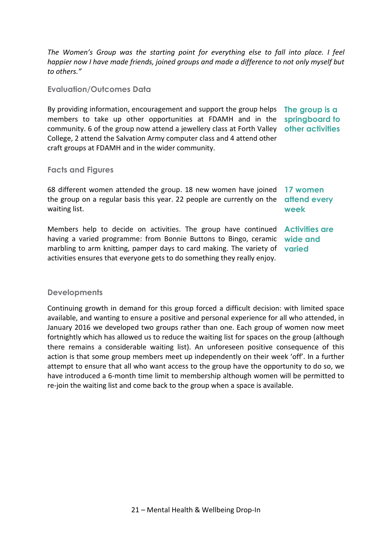*The Women's Group was the starting point for everything else to fall into place. I feel happier now I have made friends, joined groups and made a difference to not only myself but to others."*

**Evaluation/Outcomes Data**

By providing information, encouragement and support the group helps **The group is a**  members to take up other opportunities at FDAMH and in the community. 6 of the group now attend a jewellery class at Forth Valley **other activities**  College, 2 attend the Salvation Army computer class and 4 attend other craft groups at FDAMH and in the wider community. **springboard to** 

#### **Facts and Figures**

68 different women attended the group. 18 new women have joined **17 women**  the group on a regular basis this year. 22 people are currently on the **attend every** waiting list.

**week**

Members help to decide on activities. The group have continued **Activities are**  having a varied programme: from Bonnie Buttons to Bingo, ceramic **wide and**  marbling to arm knitting, pamper days to card making. The variety of **varied** activities ensures that everyone gets to do something they really enjoy.

#### **Developments**

Continuing growth in demand for this group forced a difficult decision: with limited space available, and wanting to ensure a positive and personal experience for all who attended, in January 2016 we developed two groups rather than one. Each group of women now meet fortnightly which has allowed us to reduce the waiting list for spaces on the group (although there remains a considerable waiting list). An unforeseen positive consequence of this action is that some group members meet up independently on their week 'off'. In a further attempt to ensure that all who want access to the group have the opportunity to do so, we have introduced a 6-month time limit to membership although women will be permitted to re-join the waiting list and come back to the group when a space is available.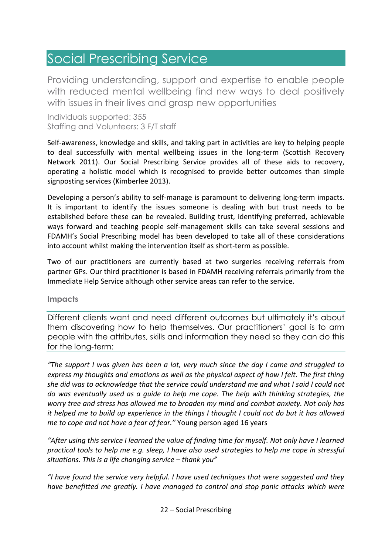# <span id="page-23-0"></span>Social Prescribing Service

Providing understanding, support and expertise to enable people with reduced mental wellbeing find new ways to deal positively with issues in their lives and grasp new opportunities

Individuals supported: 355 Staffing and Volunteers: 3 F/T staff

Self-awareness, knowledge and skills, and taking part in activities are key to helping people to deal successfully with mental wellbeing issues in the long-term (Scottish Recovery Network 2011). Our Social Prescribing Service provides all of these aids to recovery, operating a holistic model which is recognised to provide better outcomes than simple signposting services (Kimberlee 2013).

Developing a person's ability to self-manage is paramount to delivering long-term impacts. It is important to identify the issues someone is dealing with but trust needs to be established before these can be revealed. Building trust, identifying preferred, achievable ways forward and teaching people self-management skills can take several sessions and FDAMH's Social Prescribing model has been developed to take all of these considerations into account whilst making the intervention itself as short-term as possible.

Two of our practitioners are currently based at two surgeries receiving referrals from partner GPs. Our third practitioner is based in FDAMH receiving referrals primarily from the Immediate Help Service although other service areas can refer to the service.

**Impacts**

Different clients want and need different outcomes but ultimately it's about them discovering how to help themselves. Our practitioners' goal is to arm people with the attributes, skills and information they need so they can do this for the long-term:

*"The support I was given has been a lot, very much since the day I came and struggled to express my thoughts and emotions as well as the physical aspect of how I felt. The first thing she did was to acknowledge that the service could understand me and what I said I could not do was eventually used as a guide to help me cope. The help with thinking strategies, the worry tree and stress has allowed me to broaden my mind and combat anxiety. Not only has it helped me to build up experience in the things I thought I could not do but it has allowed me to cope and not have a fear of fear."* Young person aged 16 years

*"After using this service I learned the value of finding time for myself. Not only have I learned practical tools to help me e.g. sleep, I have also used strategies to help me cope in stressful situations. This is a life changing service – thank you"*

*"I have found the service very helpful. I have used techniques that were suggested and they have benefitted me greatly. I have managed to control and stop panic attacks which were*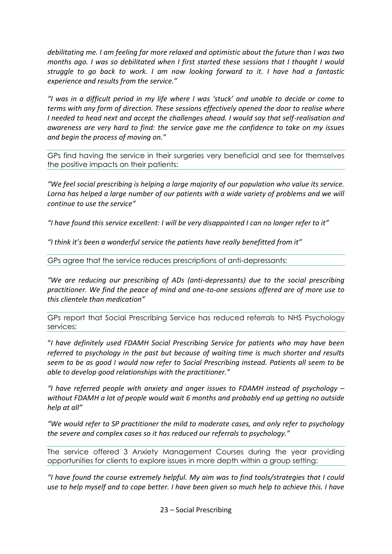*debilitating me. I am feeling far more relaxed and optimistic about the future than I was two months ago. I was so debilitated when I first started these sessions that I thought I would struggle to go back to work. I am now looking forward to it. I have had a fantastic experience and results from the service."*

*"I was in a difficult period in my life where I was 'stuck' and unable to decide or come to terms with any form of direction. These sessions effectively opened the door to realise where I needed to head next and accept the challenges ahead. I would say that self-realisation and awareness are very hard to find: the service gave me the confidence to take on my issues and begin the process of moving on."*

GPs find having the service in their surgeries very beneficial and see for themselves the positive impacts on their patients:

*"We feel social prescribing is helping a large majority of our population who value its service.*  Lorna has helped a large number of our patients with a wide variety of problems and we will *continue to use the service"*

*"I have found this service excellent: I will be very disappointed I can no longer refer to it"*

*"I think it's been a wonderful service the patients have really benefitted from it"*

GPs agree that the service reduces prescriptions of anti-depressants:

*"We are reducing our prescribing of ADs (anti-depressants) due to the social prescribing practitioner. We find the peace of mind and one-to-one sessions offered are of more use to this clientele than medication"*

GPs report that Social Prescribing Service has reduced referrals to NHS Psychology services:

"*I have definitely used FDAMH Social Prescribing Service for patients who may have been referred to psychology in the past but because of waiting time is much shorter and results seem to be as good I would now refer to Social Prescribing instead. Patients all seem to be able to develop good relationships with the practitioner."*

*"I have referred people with anxiety and anger issues to FDAMH instead of psychology – without FDAMH a lot of people would wait 6 months and probably end up getting no outside help at all"* 

*"We would refer to SP practitioner the mild to moderate cases, and only refer to psychology the severe and complex cases so it has reduced our referrals to psychology."* 

The service offered 3 Anxiety Management Courses during the year providing opportunities for clients to explore issues in more depth within a group setting:

*"I have found the course extremely helpful. My aim was to find tools/strategies that I could use to help myself and to cope better. I have been given so much help to achieve this. I have*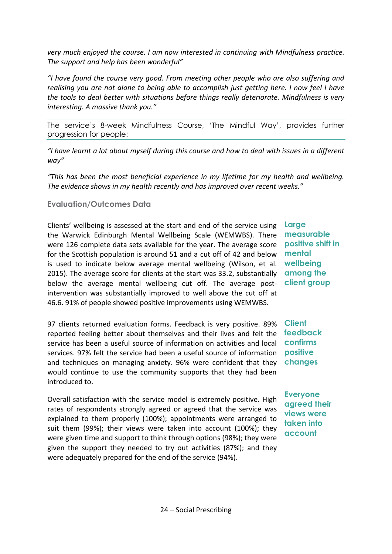*very much enjoyed the course. I am now interested in continuing with Mindfulness practice. The support and help has been wonderful"*

*"I have found the course very good. From meeting other people who are also suffering and realising you are not alone to being able to accomplish just getting here. I now feel I have the tools to deal better with situations before things really deteriorate. Mindfulness is very interesting. A massive thank you."*

The service's 8-week Mindfulness Course, 'The Mindful Way', provides further progression for people:

*"I have learnt a lot about myself during this course and how to deal with issues in a different way"*

*"This has been the most beneficial experience in my lifetime for my health and wellbeing. The evidence shows in my health recently and has improved over recent weeks."*

#### **Evaluation/Outcomes Data**

Clients' wellbeing is assessed at the start and end of the service using **Large**  the Warwick Edinburgh Mental Wellbeing Scale (WEMWBS). There were 126 complete data sets available for the year. The average score for the Scottish population is around 51 and a cut off of 42 and below is used to indicate below average mental wellbeing (Wilson, et al. 2015). The average score for clients at the start was 33.2, substantially below the average mental wellbeing cut off. The average postintervention was substantially improved to well above the cut off at 46.6. 91% of people showed positive improvements using WEMWBS.

97 clients returned evaluation forms. Feedback is very positive. 89% reported feeling better about themselves and their lives and felt the service has been a useful source of information on activities and local **confirms** services. 97% felt the service had been a useful source of information **positive** and techniques on managing anxiety. 96% were confident that they would continue to use the community supports that they had been introduced to.

Overall satisfaction with the service model is extremely positive. High rates of respondents strongly agreed or agreed that the service was explained to them properly (100%); appointments were arranged to suit them (99%); their views were taken into account (100%); they were given time and support to think through options (98%); they were given the support they needed to try out activities (87%); and they were adequately prepared for the end of the service (94%).

**measurable positive shift in mental wellbeing among the client group**

**Client feedback changes**

**Everyone agreed their views were taken into account**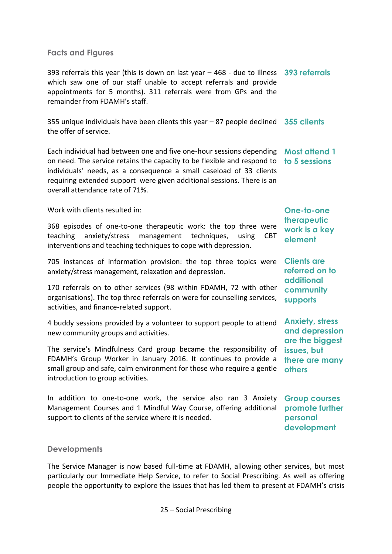#### **Facts and Figures**

393 referrals this year (this is down on last year – 468 - due to illness **393 referrals** which saw one of our staff unable to accept referrals and provide appointments for 5 months). 311 referrals were from GPs and the remainder from FDAMH's staff.

355 unique individuals have been clients this year – 87 people declined **355 clients** the offer of service.

Each individual had between one and five one-hour sessions depending **Most attend 1**  on need. The service retains the capacity to be flexible and respond to **to 5 sessions** individuals' needs, as a consequence a small caseload of 33 clients requiring extended support were given additional sessions. There is an overall attendance rate of 71%.

Work with clients resulted in:

368 episodes of one-to-one therapeutic work: the top three were teaching anxiety/stress management techniques, using CBT interventions and teaching techniques to cope with depression.

705 instances of information provision: the top three topics were anxiety/stress management, relaxation and depression.

170 referrals on to other services (98 within FDAMH, 72 with other organisations). The top three referrals on were for counselling services, activities, and finance-related support.

4 buddy sessions provided by a volunteer to support people to attend new community groups and activities.

The service's Mindfulness Card group became the responsibility of FDAMH's Group Worker in January 2016. It continues to provide a small group and safe, calm environment for those who require a gentle introduction to group activities.

In addition to one-to-one work, the service also ran 3 Anxiety Management Courses and 1 Mindful Way Course, offering additional support to clients of the service where it is needed.

**One-to-one therapeutic work is a key element**

**Clients are referred on to additional community supports**

**Anxiety, stress and depression are the biggest issues, but there are many others**

**Group courses promote further personal development**

#### **Developments**

The Service Manager is now based full-time at FDAMH, allowing other services, but most particularly our Immediate Help Service, to refer to Social Prescribing. As well as offering people the opportunity to explore the issues that has led them to present at FDAMH's crisis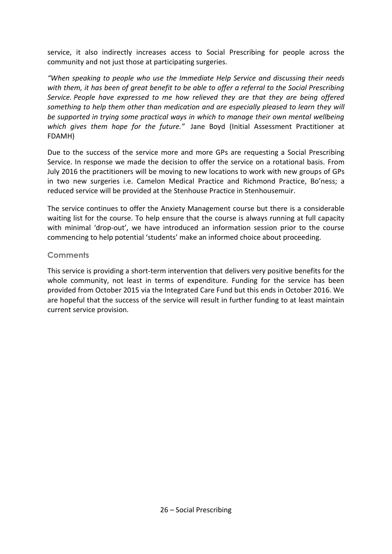service, it also indirectly increases access to Social Prescribing for people across the community and not just those at participating surgeries.

*"When speaking to people who use the Immediate Help Service and discussing their needs with them, it has been of great benefit to be able to offer a referral to the Social Prescribing Service. People have expressed to me how relieved they are that they are being offered something to help them other than medication and are especially pleased to learn they will be supported in trying some practical ways in which to manage their own mental wellbeing which gives them hope for the future."* Jane Boyd (Initial Assessment Practitioner at FDAMH)

Due to the success of the service more and more GPs are requesting a Social Prescribing Service. In response we made the decision to offer the service on a rotational basis. From July 2016 the practitioners will be moving to new locations to work with new groups of GPs in two new surgeries i.e. Camelon Medical Practice and Richmond Practice, Bo'ness; a reduced service will be provided at the Stenhouse Practice in Stenhousemuir.

The service continues to offer the Anxiety Management course but there is a considerable waiting list for the course. To help ensure that the course is always running at full capacity with minimal 'drop-out', we have introduced an information session prior to the course commencing to help potential 'students' make an informed choice about proceeding.

#### **Comments**

This service is providing a short-term intervention that delivers very positive benefits for the whole community, not least in terms of expenditure. Funding for the service has been provided from October 2015 via the Integrated Care Fund but this ends in October 2016. We are hopeful that the success of the service will result in further funding to at least maintain current service provision.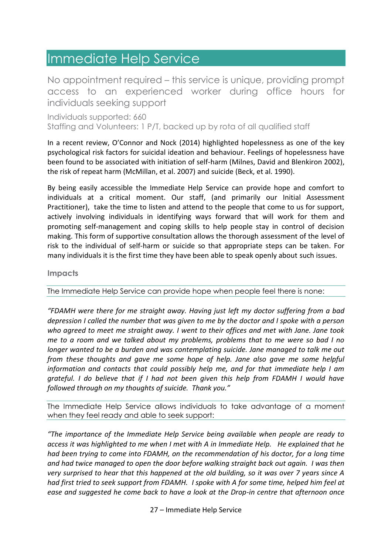### <span id="page-28-0"></span>Immediate Help Service

No appointment required – this service is unique, providing prompt access to an experienced worker during office hours for individuals seeking support

Individuals supported: 660 Staffing and Volunteers: 1 P/T, backed up by rota of all qualified staff

In a recent review, O'Connor and Nock (2014) highlighted hopelessness as one of the key psychological risk factors for suicidal ideation and behaviour. Feelings of hopelessness have been found to be associated with initiation of self-harm (Milnes, David and Blenkiron 2002), the risk of repeat harm (McMillan, et al. 2007) and suicide (Beck, et al. 1990).

By being easily accessible the Immediate Help Service can provide hope and comfort to individuals at a critical moment. Our staff, (and primarily our Initial Assessment Practitioner), take the time to listen and attend to the people that come to us for support, actively involving individuals in identifying ways forward that will work for them and promoting self-management and coping skills to help people stay in control of decision making. This form of supportive consultation allows the thorough assessment of the level of risk to the individual of self-harm or suicide so that appropriate steps can be taken. For many individuals it is the first time they have been able to speak openly about such issues.

#### **Impacts**

The Immediate Help Service can provide hope when people feel there is none:

*"FDAMH were there for me straight away. Having just left my doctor suffering from a bad depression I called the number that was given to me by the doctor and I spoke with a person who agreed to meet me straight away. I went to their offices and met with Jane. Jane took me to a room and we talked about my problems, problems that to me were so bad I no longer wanted to be a burden and was contemplating suicide. Jane managed to talk me out from these thoughts and gave me some hope of help. Jane also gave me some helpful information and contacts that could possibly help me, and for that immediate help I am grateful. I do believe that if I had not been given this help from FDAMH I would have followed through on my thoughts of suicide. Thank you."* 

The Immediate Help Service allows individuals to take advantage of a moment when they feel ready and able to seek support:

*"The importance of the Immediate Help Service being available when people are ready to access it was highlighted to me when I met with A in Immediate Help. He explained that he had been trying to come into FDAMH, on the recommendation of his doctor, for a long time and had twice managed to open the door before walking straight back out again. I was then very surprised to hear that this happened at the old building, so it was over 7 years since A had first tried to seek support from FDAMH. I spoke with A for some time, helped him feel at ease and suggested he come back to have a look at the Drop-in centre that afternoon once* 

27 – Immediate Help Service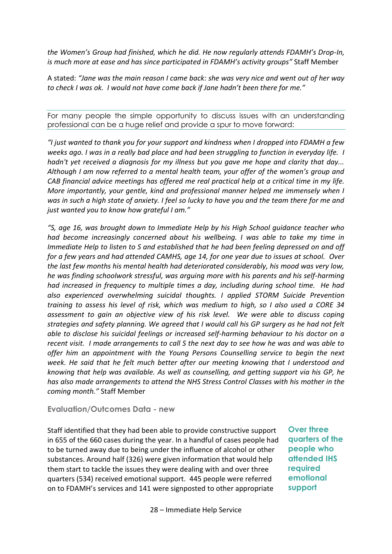*the Women's Group had finished, which he did. He now regularly attends FDAMH's Drop-In, is much more at ease and has since participated in FDAMH's activity groups"* Staff Member

A stated: *"Jane was the main reason I came back: she was very nice and went out of her way to check I was ok. I would not have come back if Jane hadn't been there for me."*

For many people the simple opportunity to discuss issues with an understanding professional can be a huge relief and provide a spur to move forward:

*"I just wanted to thank you for your support and kindness when I dropped into FDAMH a few weeks ago. I was in a really bad place and had been struggling to function in everyday life. I hadn't yet received a diagnosis for my illness but you gave me hope and clarity that day... Although I am now referred to a mental health team, your offer of the women's group and CAB financial advice meetings has offered me real practical help at a critical time in my life. More importantly, your gentle, kind and professional manner helped me immensely when I was in such a high state of anxiety. I feel so lucky to have you and the team there for me and just wanted you to know how grateful I am."*

*"S, age 16, was brought down to Immediate Help by his High School guidance teacher who had become increasingly concerned about his wellbeing. I was able to take my time in Immediate Help to listen to S and established that he had been feeling depressed on and off for a few years and had attended CAMHS, age 14, for one year due to issues at school. Over the last few months his mental health had deteriorated considerably, his mood was very low, he was finding schoolwork stressful, was arguing more with his parents and his self-harming had increased in frequency to multiple times a day, including during school time. He had also experienced overwhelming suicidal thoughts. I applied STORM Suicide Prevention training to assess his level of risk, which was medium to high, so I also used a CORE 34 assessment to gain an objective view of his risk level. We were able to discuss coping strategies and safety planning. We agreed that I would call his GP surgery as he had not felt able to disclose his suicidal feelings or increased self-harming behaviour to his doctor on a recent visit. I made arrangements to call S the next day to see how he was and was able to offer him an appointment with the Young Persons Counselling service to begin the next week. He said that he felt much better after our meeting knowing that I understood and knowing that help was available. As well as counselling, and getting support via his GP, he has also made arrangements to attend the NHS Stress Control Classes with his mother in the coming month."* Staff Member

**Evaluation/Outcomes Data - new**

Staff identified that they had been able to provide constructive support in 655 of the 660 cases during the year. In a handful of cases people had to be turned away due to being under the influence of alcohol or other substances. Around half (326) were given information that would help them start to tackle the issues they were dealing with and over three quarters (534) received emotional support. 445 people were referred on to FDAMH's services and 141 were signposted to other appropriate

**Over three quarters of the people who attended IHS required emotional support**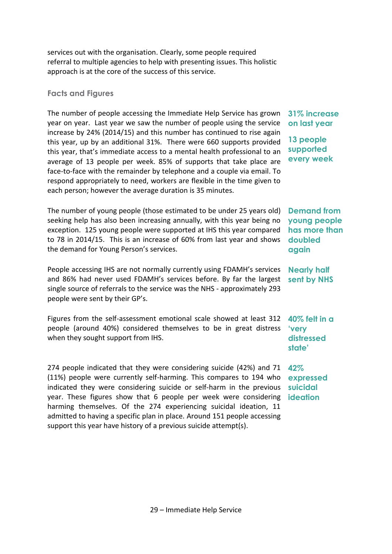services out with the organisation. Clearly, some people required referral to multiple agencies to help with presenting issues. This holistic approach is at the core of the success of this service.

#### **Facts and Figures**

The number of people accessing the Immediate Help Service has grown year on year. Last year we saw the number of people using the service increase by 24% (2014/15) and this number has continued to rise again this year, up by an additional 31%. There were 660 supports provided this year, that's immediate access to a mental health professional to an average of 13 people per week. 85% of supports that take place are face-to-face with the remainder by telephone and a couple via email. To respond appropriately to need, workers are flexible in the time given to each person; however the average duration is 35 minutes.

The number of young people (those estimated to be under 25 years old) seeking help has also been increasing annually, with this year being no exception. 125 young people were supported at IHS this year compared to 78 in 2014/15. This is an increase of 60% from last year and shows the demand for Young Person's services.

People accessing IHS are not normally currently using FDAMH's services and 86% had never used FDAMH's services before. By far the largest single source of referrals to the service was the NHS - approximately 293 people were sent by their GP's.

Figures from the self-assessment emotional scale showed at least 312 people (around 40%) considered themselves to be in great distress when they sought support from IHS.

274 people indicated that they were considering suicide (42%) and 71 **42%**  (11%) people were currently self-harming. This compares to 194 who indicated they were considering suicide or self-harm in the previous year. These figures show that 6 people per week were considering **ideation**harming themselves. Of the 274 experiencing suicidal ideation, 11 admitted to having a specific plan in place. Around 151 people accessing support this year have history of a previous suicide attempt(s).

### **31% increase on last year**

**13 people supported every week**

### **Demand from young people has more than doubled again**

**Nearly half sent by NHS** 

**40% felt in a 'very distressed state'**

**expressed suicidal**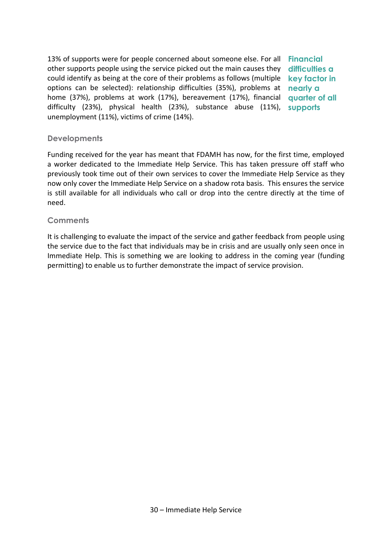13% of supports were for people concerned about someone else. For all **Financial**  other supports people using the service picked out the main causes they **difficulties a**  could identify as being at the core of their problems as follows (multiple options can be selected): relationship difficulties (35%), problems at home (37%), problems at work (17%), bereavement (17%), financial difficulty (23%), physical health (23%), substance abuse (11%), unemployment (11%), victims of crime (14%). **key factor in nearly a quarter of all supports**

#### **Developments**

Funding received for the year has meant that FDAMH has now, for the first time, employed a worker dedicated to the Immediate Help Service. This has taken pressure off staff who previously took time out of their own services to cover the Immediate Help Service as they now only cover the Immediate Help Service on a shadow rota basis. This ensures the service is still available for all individuals who call or drop into the centre directly at the time of need.

#### **Comments**

It is challenging to evaluate the impact of the service and gather feedback from people using the service due to the fact that individuals may be in crisis and are usually only seen once in Immediate Help. This is something we are looking to address in the coming year (funding permitting) to enable us to further demonstrate the impact of service provision.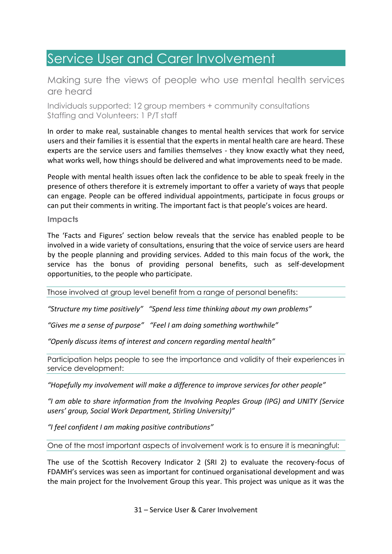# <span id="page-32-0"></span>Service User and Carer Involvement

### Making sure the views of people who use mental health services are heard

Individuals supported: 12 group members + community consultations Staffing and Volunteers: 1 P/T staff

In order to make real, sustainable changes to mental health services that work for service users and their families it is essential that the experts in mental health care are heard. These experts are the service users and families themselves - they know exactly what they need, what works well, how things should be delivered and what improvements need to be made.

People with mental health issues often lack the confidence to be able to speak freely in the presence of others therefore it is extremely important to offer a variety of ways that people can engage. People can be offered individual appointments, participate in focus groups or can put their comments in writing. The important fact is that people's voices are heard.

#### **Impacts**

The 'Facts and Figures' section below reveals that the service has enabled people to be involved in a wide variety of consultations, ensuring that the voice of service users are heard by the people planning and providing services. Added to this main focus of the work, the service has the bonus of providing personal benefits, such as self-development opportunities, to the people who participate.

Those involved at group level benefit from a range of personal benefits:

*"Structure my time positively" "Spend less time thinking about my own problems"*

*"Gives me a sense of purpose" "Feel I am doing something worthwhile"*

*"Openly discuss items of interest and concern regarding mental health"*

Participation helps people to see the importance and validity of their experiences in service development:

*"Hopefully my involvement will make a difference to improve services for other people"*

*"I am able to share information from the Involving Peoples Group (IPG) and UNITY (Service users' group, Social Work Department, Stirling University)"*

*"I feel confident I am making positive contributions"*

One of the most important aspects of involvement work is to ensure it is meaningful:

The use of the Scottish Recovery Indicator 2 (SRI 2) to evaluate the recovery-focus of FDAMH's services was seen as important for continued organisational development and was the main project for the Involvement Group this year. This project was unique as it was the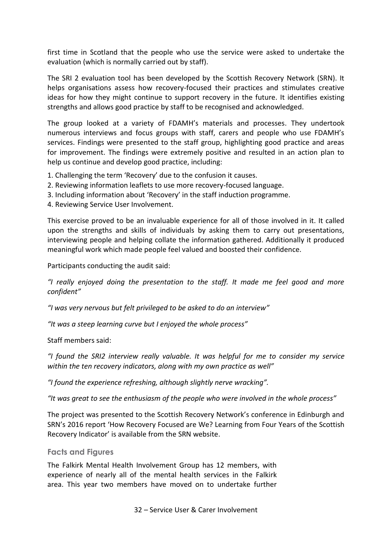first time in Scotland that the people who use the service were asked to undertake the evaluation (which is normally carried out by staff).

The SRI 2 evaluation tool has been developed by the Scottish Recovery Network (SRN). It helps organisations assess how recovery-focused their practices and stimulates creative ideas for how they might continue to support recovery in the future. It identifies existing strengths and allows good practice by staff to be recognised and acknowledged.

The group looked at a variety of FDAMH's materials and processes. They undertook numerous interviews and focus groups with staff, carers and people who use FDAMH's services. Findings were presented to the staff group, highlighting good practice and areas for improvement. The findings were extremely positive and resulted in an action plan to help us continue and develop good practice, including:

- 1. Challenging the term 'Recovery' due to the confusion it causes.
- 2. Reviewing information leaflets to use more recovery-focused language.
- 3. Including information about 'Recovery' in the staff induction programme.
- 4. Reviewing Service User Involvement.

This exercise proved to be an invaluable experience for all of those involved in it. It called upon the strengths and skills of individuals by asking them to carry out presentations, interviewing people and helping collate the information gathered. Additionally it produced meaningful work which made people feel valued and boosted their confidence.

Participants conducting the audit said:

*"I really enjoyed doing the presentation to the staff. It made me feel good and more confident"*

*"I was very nervous but felt privileged to be asked to do an interview"*

*"It was a steep learning curve but I enjoyed the whole process"*

Staff members said:

*"I found the SRI2 interview really valuable. It was helpful for me to consider my service within the ten recovery indicators, along with my own practice as well"*

*"I found the experience refreshing, although slightly nerve wracking".*

*"It was great to see the enthusiasm of the people who were involved in the whole process"*

The project was presented to the Scottish Recovery Network's conference in Edinburgh and SRN's 2016 report 'How Recovery Focused are We? Learning from Four Years of the Scottish Recovery Indicator' is available from the SRN website.

#### **Facts and Figures**

The Falkirk Mental Health Involvement Group has 12 members, with experience of nearly all of the mental health services in the Falkirk area. This year two members have moved on to undertake further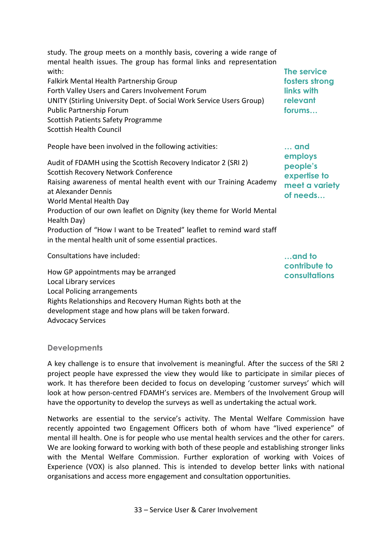study. The group meets on a monthly basis, covering a wide range of mental health issues. The group has formal links and representation with: Falkirk Mental Health Partnership Group Forth Valley Users and Carers Involvement Forum UNITY (Stirling University Dept. of Social Work Service Users Group) Public Partnership Forum Scottish Patients Safety Programme Scottish Health Council

People have been involved in the following activities:

in the mental health unit of some essential practices.

Audit of FDAMH using the Scottish Recovery Indicator 2 (SRI 2) Scottish Recovery Network Conference Raising awareness of mental health event with our Training Academy at Alexander Dennis

Production of our own leaflet on Dignity (key theme for World Mental

Production of "How I want to be Treated" leaflet to remind ward staff

**The service fosters strong links with relevant forums…**

**… and employs people's expertise to meet a variety of needs…**

Consultations have included:

World Mental Health Day

Health Day)

How GP appointments may be arranged Local Library services Local Policing arrangements Rights Relationships and Recovery Human Rights both at the development stage and how plans will be taken forward. Advocacy Services

**…and to contribute to consultations**

### **Developments**

A key challenge is to ensure that involvement is meaningful. After the success of the SRI 2 project people have expressed the view they would like to participate in similar pieces of work. It has therefore been decided to focus on developing 'customer surveys' which will look at how person-centred FDAMH's services are. Members of the Involvement Group will have the opportunity to develop the surveys as well as undertaking the actual work.

Networks are essential to the service's activity. The Mental Welfare Commission have recently appointed two Engagement Officers both of whom have "lived experience" of mental ill health. One is for people who use mental health services and the other for carers. We are looking forward to working with both of these people and establishing stronger links with the Mental Welfare Commission. Further exploration of working with Voices of Experience (VOX) is also planned. This is intended to develop better links with national organisations and access more engagement and consultation opportunities.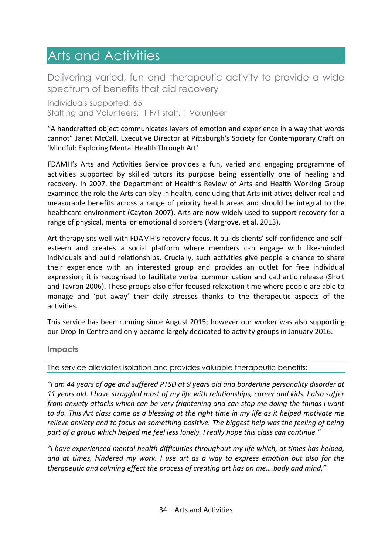## <span id="page-35-0"></span>Arts and Activities

Delivering varied, fun and therapeutic activity to provide a wide spectrum of benefits that aid recovery

Individuals supported: 65 Staffing and Volunteers: 1 F/T staff, 1 Volunteer

"A handcrafted object communicates layers of emotion and experience in a way that words cannot" Janet McCall, Executive Director at Pittsburgh's Society for Contemporary Craft on 'Mindful: Exploring Mental Health Through Art'

FDAMH's Arts and Activities Service provides a fun, varied and engaging programme of activities supported by skilled tutors its purpose being essentially one of healing and recovery. In 2007, the Department of Health's Review of Arts and Health Working Group examined the role the Arts can play in health, concluding that Arts initiatives deliver real and measurable benefits across a range of priority health areas and should be integral to the healthcare environment (Cayton 2007). Arts are now widely used to support recovery for a range of physical, mental or emotional disorders (Margrove, et al. 2013).

Art therapy sits well with FDAMH's recovery-focus. It builds clients' self-confidence and selfesteem and creates a social platform where members can engage with like-minded individuals and build relationships. Crucially, such activities give people a chance to share their experience with an interested group and provides an outlet for free individual expression; it is recognised to facilitate verbal communication and cathartic release (Sholt and Tavron 2006). These groups also offer focused relaxation time where people are able to manage and 'put away' their daily stresses thanks to the therapeutic aspects of the activities.

This service has been running since August 2015; however our worker was also supporting our Drop-In Centre and only became largely dedicated to activity groups in January 2016.

**Impacts**

The service alleviates isolation and provides valuable therapeutic benefits:

*"I am 44 years of age and suffered PTSD at 9 years old and borderline personality disorder at 11 years old. I have struggled most of my life with relationships, career and kids. I also suffer from anxiety attacks which can be very frightening and can stop me doing the things I want to do. This Art class came as a blessing at the right time in my life as it helped motivate me relieve anxiety and to focus on something positive. The biggest help was the feeling of being part of a group which helped me feel less lonely. I really hope this class can continue."*

*"I have experienced mental health difficulties throughout my life which, at times has helped, and at times, hindered my work. I use art as a way to express emotion but also for the therapeutic and calming effect the process of creating art has on me….body and mind."*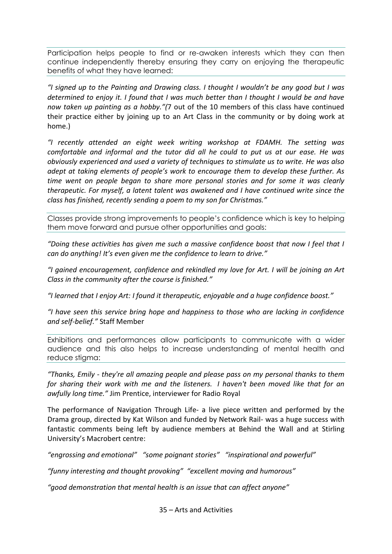Participation helps people to find or re-awaken interests which they can then continue independently thereby ensuring they carry on enjoying the therapeutic benefits of what they have learned:

*"I signed up to the Painting and Drawing class. I thought I wouldn't be any good but I was determined to enjoy it. I found that I was much better than I thought I would be and have now taken up painting as a hobby."(*7 out of the 10 members of this class have continued their practice either by joining up to an Art Class in the community or by doing work at home.)

*"I recently attended an eight week writing workshop at FDAMH. The setting was comfortable and informal and the tutor did all he could to put us at our ease. He was obviously experienced and used a variety of techniques to stimulate us to write. He was also adept at taking elements of people's work to encourage them to develop these further. As time went on people began to share more personal stories and for some it was clearly therapeutic. For myself, a latent talent was awakened and I have continued write since the class has finished, recently sending a poem to my son for Christmas."*

Classes provide strong improvements to people's confidence which is key to helping them move forward and pursue other opportunities and goals:

*"Doing these activities has given me such a massive confidence boost that now I feel that I can do anything! It's even given me the confidence to learn to drive."*

*"I gained encouragement, confidence and rekindled my love for Art. I will be joining an Art Class in the community after the course is finished."*

*"I learned that I enjoy Art: I found it therapeutic, enjoyable and a huge confidence boost."*

*"I have seen this service bring hope and happiness to those who are lacking in confidence and self-belief."* Staff Member

Exhibitions and performances allow participants to communicate with a wider audience and this also helps to increase understanding of mental health and reduce stigma:

*"Thanks, Emily - they're all amazing people and please pass on my personal thanks to them for sharing their work with me and the listeners. I haven't been moved like that for an awfully long time."* Jim Prentice, interviewer for Radio Royal

The performance of Navigation Through Life- a live piece written and performed by the Drama group, directed by Kat Wilson and funded by Network Rail- was a huge success with fantastic comments being left by audience members at Behind the Wall and at Stirling University's Macrobert centre:

*"engrossing and emotional" "some poignant stories" "inspirational and powerful"*

*"funny interesting and thought provoking" "excellent moving and humorous"*

*"good demonstration that mental health is an issue that can affect anyone"* 

35 – Arts and Activities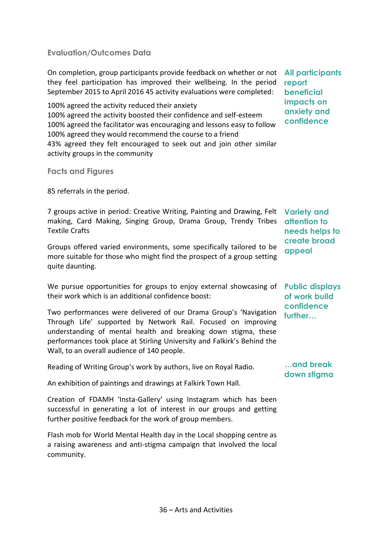### **Evaluation/Outcomes Data**

On completion, group participants provide feedback on whether or not **All participants**  they feel participation has improved their wellbeing. In the period September 2015 to April 2016 45 activity evaluations were completed:

100% agreed the activity reduced their anxiety 100% agreed the activity boosted their confidence and self-esteem 100% agreed the facilitator was encouraging and lessons easy to follow 100% agreed they would recommend the course to a friend 43% agreed they felt encouraged to seek out and join other similar activity groups in the community

**Facts and Figures**

85 referrals in the period.

7 groups active in period: Creative Writing, Painting and Drawing, Felt **Variety and**  making, Card Making, Singing Group, Drama Group, Trendy Tribes **attention to**  Textile Crafts

Groups offered varied environments, some specifically tailored to be more suitable for those who might find the prospect of a group setting quite daunting.

We pursue opportunities for groups to enjoy external showcasing of **Public displays**  their work which is an additional confidence boost:

Two performances were delivered of our Drama Group's 'Navigation Through Life' supported by Network Rail. Focused on improving understanding of mental health and breaking down stigma, these performances took place at Stirling University and Falkirk's Behind the Wall, to an overall audience of 140 people.

Reading of Writing Group's work by authors, live on Royal Radio.

An exhibition of paintings and drawings at Falkirk Town Hall.

Creation of FDAMH 'Insta-Gallery' using Instagram which has been successful in generating a lot of interest in our groups and getting further positive feedback for the work of group members.

Flash mob for World Mental Health day in the Local shopping centre as a raising awareness and anti-stigma campaign that involved the local community.

**report beneficial impacts on anxiety and confidence**

**needs helps to create broad appeal**

**of work build confidence further…**

**…and break down stigma**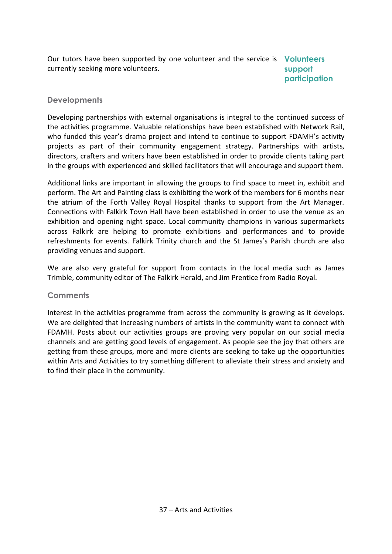Our tutors have been supported by one volunteer and the service is **Volunteers**  currently seeking more volunteers. **support** 

**participation**

### **Developments**

Developing partnerships with external organisations is integral to the continued success of the activities programme. Valuable relationships have been established with Network Rail, who funded this year's drama project and intend to continue to support FDAMH's activity projects as part of their community engagement strategy. Partnerships with artists, directors, crafters and writers have been established in order to provide clients taking part in the groups with experienced and skilled facilitators that will encourage and support them.

Additional links are important in allowing the groups to find space to meet in, exhibit and perform. The Art and Painting class is exhibiting the work of the members for 6 months near the atrium of the Forth Valley Royal Hospital thanks to support from the Art Manager. Connections with Falkirk Town Hall have been established in order to use the venue as an exhibition and opening night space. Local community champions in various supermarkets across Falkirk are helping to promote exhibitions and performances and to provide refreshments for events. Falkirk Trinity church and the St James's Parish church are also providing venues and support.

We are also very grateful for support from contacts in the local media such as James Trimble, community editor of The Falkirk Herald, and Jim Prentice from Radio Royal.

#### **Comments**

Interest in the activities programme from across the community is growing as it develops. We are delighted that increasing numbers of artists in the community want to connect with FDAMH. Posts about our activities groups are proving very popular on our social media channels and are getting good levels of engagement. As people see the joy that others are getting from these groups, more and more clients are seeking to take up the opportunities within Arts and Activities to try something different to alleviate their stress and anxiety and to find their place in the community.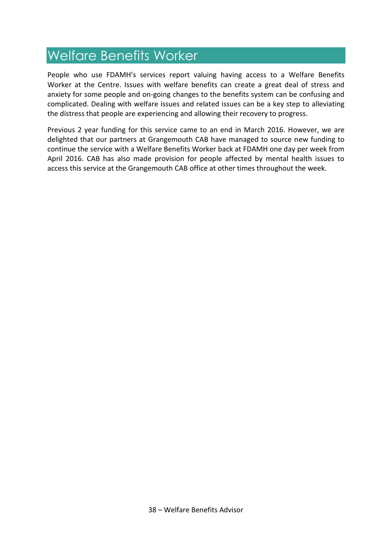# <span id="page-39-0"></span>Welfare Benefits Worker

People who use FDAMH's services report valuing having access to a Welfare Benefits Worker at the Centre. Issues with welfare benefits can create a great deal of stress and anxiety for some people and on-going changes to the benefits system can be confusing and complicated. Dealing with welfare issues and related issues can be a key step to alleviating the distress that people are experiencing and allowing their recovery to progress.

Previous 2 year funding for this service came to an end in March 2016. However, we are delighted that our partners at Grangemouth CAB have managed to source new funding to continue the service with a Welfare Benefits Worker back at FDAMH one day per week from April 2016. CAB has also made provision for people affected by mental health issues to access this service at the Grangemouth CAB office at other times throughout the week.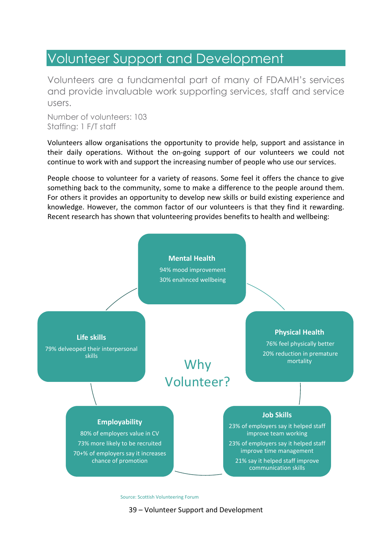### <span id="page-40-0"></span>Volunteer Support and Development

Volunteers are a fundamental part of many of FDAMH's services and provide invaluable work supporting services, staff and service users.

Number of volunteers: 103 Staffing: 1 F/T staff

Volunteers allow organisations the opportunity to provide help, support and assistance in their daily operations. Without the on-going support of our volunteers we could not continue to work with and support the increasing number of people who use our services.

People choose to volunteer for a variety of reasons. Some feel it offers the chance to give something back to the community, some to make a difference to the people around them. For others it provides an opportunity to develop new skills or build existing experience and knowledge. However, the common factor of our volunteers is that they find it rewarding. Recent research has shown that volunteering provides benefits to health and wellbeing:



Source: Scottish Volunteering Forum

39 – Volunteer Support and Development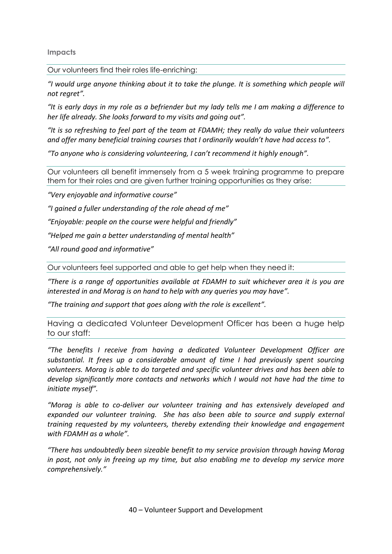**Impacts**

Our volunteers find their roles life-enriching:

*"I would urge anyone thinking about it to take the plunge. It is something which people will not regret".*

*"It is early days in my role as a befriender but my lady tells me I am making a difference to her life already. She looks forward to my visits and going out".*

*"It is so refreshing to feel part of the team at FDAMH; they really do value their volunteers and offer many beneficial training courses that I ordinarily wouldn't have had access to".*

*"To anyone who is considering volunteering, I can't recommend it highly enough".*

Our volunteers all benefit immensely from a 5 week training programme to prepare them for their roles and are given further training opportunities as they arise:

*"Very enjoyable and informative course"*

*"I gained a fuller understanding of the role ahead of me"*

*"Enjoyable: people on the course were helpful and friendly"*

*"Helped me gain a better understanding of mental health"*

*"All round good and informative"*

Our volunteers feel supported and able to get help when they need it:

*"There is a range of opportunities available at FDAMH to suit whichever area it is you are interested in and Morag is on hand to help with any queries you may have".*

*"The training and support that goes along with the role is excellent".*

Having a dedicated Volunteer Development Officer has been a huge help to our staff:

*"The benefits I receive from having a dedicated Volunteer Development Officer are substantial. It frees up a considerable amount of time I had previously spent sourcing volunteers. Morag is able to do targeted and specific volunteer drives and has been able to develop significantly more contacts and networks which I would not have had the time to initiate myself".*

*"Morag is able to co-deliver our volunteer training and has extensively developed and expanded our volunteer training. She has also been able to source and supply external training requested by my volunteers, thereby extending their knowledge and engagement with FDAMH as a whole".* 

*"There has undoubtedly been sizeable benefit to my service provision through having Morag in post, not only in freeing up my time, but also enabling me to develop my service more comprehensively."*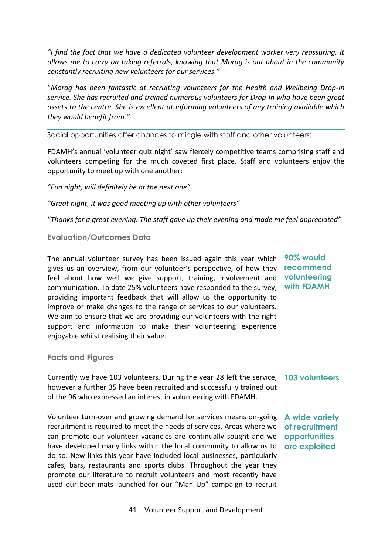*"I find the fact that we have a dedicated volunteer development worker very reassuring. It allows me to carry on taking referrals, knowing that Morag is out about in the community constantly recruiting new volunteers for our services."*

"*Morag has been fantastic at recruiting volunteers for the Health and Wellbeing Drop-In service. She has recruited and trained numerous volunteers for Drop-In who have been great assets to the centre. She is excellent at informing volunteers of any training available which they would benefit from."*

Social opportunities offer chances to mingle with staff and other volunteers:

FDAMH's annual 'volunteer quiz night' saw fiercely competitive teams comprising staff and volunteers competing for the much coveted first place. Staff and volunteers enjoy the opportunity to meet up with one another:

*"Fun night, will definitely be at the next one"*

*"Great night, it was good meeting up with other volunteers"*

"*Thanks for a great evening. The staff gave up their evening and made me feel appreciated"*

#### **Evaluation/Outcomes Data**

The annual volunteer survey has been issued again this year which gives us an overview, from our volunteer's perspective, of how they feel about how well we give support, training, involvement and communication. To date 25% volunteers have responded to the survey, providing important feedback that will allow us the opportunity to improve or make changes to the range of services to our volunteers. We aim to ensure that we are providing our volunteers with the right support and information to make their volunteering experience enjoyable whilst realising their value.

**90% would recommend volunteering with FDAMH**

**Facts and Figures**

Currently we have 103 volunteers. During the year 28 left the service, **103 volunteers** however a further 35 have been recruited and successfully trained out of the 96 who expressed an interest in volunteering with FDAMH.

Volunteer turn-over and growing demand for services means on-going **A wide variety**  recruitment is required to meet the needs of services. Areas where we **of recruitment**  can promote our volunteer vacancies are continually sought and we have developed many links within the local community to allow us to **are exploited**do so. New links this year have included local businesses, particularly cafes, bars, restaurants and sports clubs. Throughout the year they promote our literature to recruit volunteers and most recently have used our beer mats launched for our "Man Up" campaign to recruit

**opportunities** 

41 – Volunteer Support and Development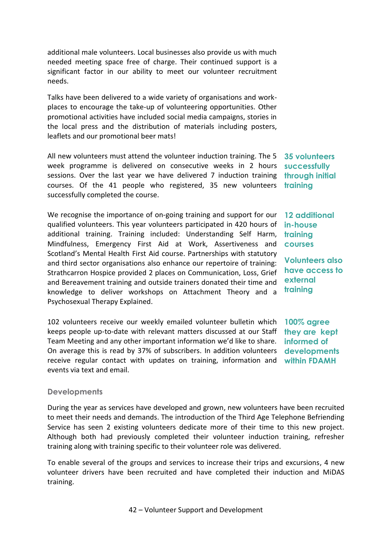additional male volunteers. Local businesses also provide us with much needed meeting space free of charge. Their continued support is a significant factor in our ability to meet our volunteer recruitment needs.

Talks have been delivered to a wide variety of organisations and workplaces to encourage the take-up of volunteering opportunities. Other promotional activities have included social media campaigns, stories in the local press and the distribution of materials including posters, leaflets and our promotional beer mats!

All new volunteers must attend the volunteer induction training. The 5 week programme is delivered on consecutive weeks in 2 hours sessions. Over the last year we have delivered 7 induction training **through initial**  courses. Of the 41 people who registered, 35 new volunteers **training**  successfully completed the course.

We recognise the importance of on-going training and support for our qualified volunteers. This year volunteers participated in 420 hours of additional training. Training included: Understanding Self Harm, Mindfulness, Emergency First Aid at Work, Assertiveness and Scotland's Mental Health First Aid course. Partnerships with statutory and third sector organisations also enhance our repertoire of training: Strathcarron Hospice provided 2 places on Communication, Loss, Grief and Bereavement training and outside trainers donated their time and knowledge to deliver workshops on Attachment Theory and a Psychosexual Therapy Explained.

102 volunteers receive our weekly emailed volunteer bulletin which **100% agree** keeps people up-to-date with relevant matters discussed at our Staff **they are kept**  Team Meeting and any other important information we'd like to share. On average this is read by 37% of subscribers. In addition volunteers **developments**  receive regular contact with updates on training, information and **within FDAMH** events via text and email.

**35 volunteers successfully**

**12 additional in-house training courses** 

**Volunteers also have access to external training**

**informed of** 

#### **Developments**

During the year as services have developed and grown, new volunteers have been recruited to meet their needs and demands. The introduction of the Third Age Telephone Befriending Service has seen 2 existing volunteers dedicate more of their time to this new project. Although both had previously completed their volunteer induction training, refresher training along with training specific to their volunteer role was delivered.

To enable several of the groups and services to increase their trips and excursions, 4 new volunteer drivers have been recruited and have completed their induction and MiDAS training.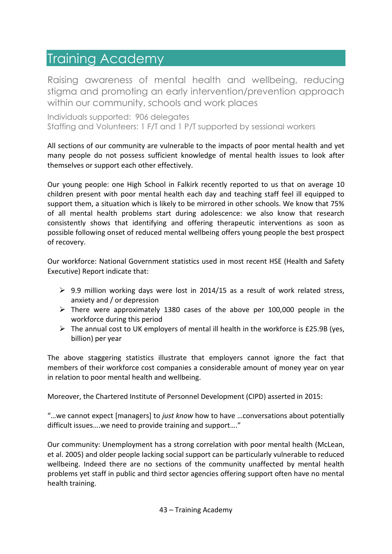# <span id="page-44-0"></span>Training Academy

Raising awareness of mental health and wellbeing, reducing stigma and promoting an early intervention/prevention approach within our community, schools and work places

Individuals supported: 906 delegates Staffing and Volunteers: 1 F/T and 1 P/T supported by sessional workers

All sections of our community are vulnerable to the impacts of poor mental health and yet many people do not possess sufficient knowledge of mental health issues to look after themselves or support each other effectively.

Our young people: one High School in Falkirk recently reported to us that on average 10 children present with poor mental health each day and teaching staff feel ill equipped to support them, a situation which is likely to be mirrored in other schools. We know that 75% of all mental health problems start during adolescence: we also know that research consistently shows that identifying and offering therapeutic interventions as soon as possible following onset of reduced mental wellbeing offers young people the best prospect of recovery.

Our workforce: National Government statistics used in most recent HSE (Health and Safety Executive) Report indicate that:

- $\triangleright$  9.9 million working days were lost in 2014/15 as a result of work related stress, anxiety and / or depression
- $\triangleright$  There were approximately 1380 cases of the above per 100,000 people in the workforce during this period
- $\triangleright$  The annual cost to UK employers of mental ill health in the workforce is £25.9B (yes, billion) per year

The above staggering statistics illustrate that employers cannot ignore the fact that members of their workforce cost companies a considerable amount of money year on year in relation to poor mental health and wellbeing.

Moreover, the Chartered Institute of Personnel Development (CIPD) asserted in 2015:

"...we cannot expect [managers] to *just know* how to have ...conversations about potentially difficult issues….we need to provide training and support…."

Our community: Unemployment has a strong correlation with poor mental health (McLean, et al. 2005) and older people lacking social support can be particularly vulnerable to reduced wellbeing. Indeed there are no sections of the community unaffected by mental health problems yet staff in public and third sector agencies offering support often have no mental health training.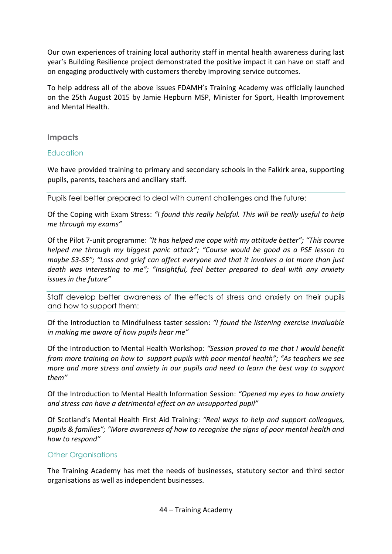Our own experiences of training local authority staff in mental health awareness during last year's Building Resilience project demonstrated the positive impact it can have on staff and on engaging productively with customers thereby improving service outcomes.

To help address all of the above issues FDAMH's Training Academy was officially launched on the 25th August 2015 by Jamie Hepburn MSP, Minister for Sport, Health Improvement and Mental Health.

#### **Impacts**

#### **Education**

We have provided training to primary and secondary schools in the Falkirk area, supporting pupils, parents, teachers and ancillary staff.

Pupils feel better prepared to deal with current challenges and the future:

Of the Coping with Exam Stress: *"I found this really helpful. This will be really useful to help me through my exams"*

Of the Pilot 7-unit programme: *"It has helped me cope with my attitude better"; "This course helped me through my biggest panic attack"; "Course would be good as a PSE lesson to maybe S3-S5"; "Loss and grief can affect everyone and that it involves a lot more than just death was interesting to me"; "Insightful, feel better prepared to deal with any anxiety issues in the future"*

Staff develop better awareness of the effects of stress and anxiety on their pupils and how to support them:

Of the Introduction to Mindfulness taster session: *"I found the listening exercise invaluable in making me aware of how pupils hear me"* 

Of the Introduction to Mental Health Workshop: *"Session proved to me that I would benefit from more training on how to support pupils with poor mental health"; "As teachers we see more and more stress and anxiety in our pupils and need to learn the best way to support them"* 

Of the Introduction to Mental Health Information Session: *"Opened my eyes to how anxiety and stress can have a detrimental effect on an unsupported pupil"* 

Of Scotland's Mental Health First Aid Training: *"Real ways to help and support colleagues, pupils & families"; "More awareness of how to recognise the signs of poor mental health and how to respond"* 

#### Other Organisations

The Training Academy has met the needs of businesses, statutory sector and third sector organisations as well as independent businesses.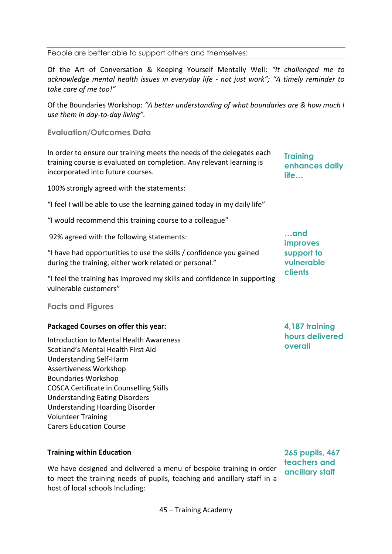#### People are better able to support others and themselves:

Of the Art of Conversation & Keeping Yourself Mentally Well: *"It challenged me to acknowledge mental health issues in everyday life - not just work"; "A timely reminder to take care of me too!"*

Of the Boundaries Workshop: *"A better understanding of what boundaries are & how much I use them in day-to-day living".*

**Evaluation/Outcomes Data**

In order to ensure our training meets the needs of the delegates each training course is evaluated on completion. Any relevant learning is incorporated into future courses.

100% strongly agreed with the statements:

"I feel I will be able to use the learning gained today in my daily life"

"I would recommend this training course to a colleague"

92% agreed with the following statements:

"I have had opportunities to use the skills / confidence you gained during the training, either work related or personal."

"I feel the training has improved my skills and confidence in supporting vulnerable customers"

**Facts and Figures**

|  |  |  | Packaged Courses on offer this year: |  |
|--|--|--|--------------------------------------|--|
|--|--|--|--------------------------------------|--|

Introduction to Mental Health Awareness Scotland's Mental Health First Aid Understanding Self-Harm Assertiveness Workshop Boundaries Workshop COSCA Certificate in Counselling Skills Understanding Eating Disorders Understanding Hoarding Disorder Volunteer Training Carers Education Course

#### **Training within Education**

We have designed and delivered a menu of bespoke training in order to meet the training needs of pupils, teaching and ancillary staff in a host of local schools Including:

**265 pupils, 467 teachers and ancillary staff** 

**4,187 training hours delivered** 

**overall**

**Training** 

**life…**

**…and improves support to vulnerable clients**

**enhances daily**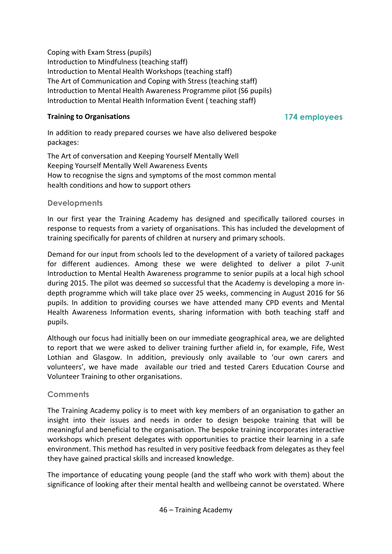Coping with Exam Stress (pupils) Introduction to Mindfulness (teaching staff) Introduction to Mental Health Workshops (teaching staff) The Art of Communication and Coping with Stress (teaching staff) Introduction to Mental Health Awareness Programme pilot (S6 pupils) Introduction to Mental Health Information Event ( teaching staff)

#### **Training to Organisations**

**174 employees**

In addition to ready prepared courses we have also delivered bespoke packages:

The Art of conversation and Keeping Yourself Mentally Well Keeping Yourself Mentally Well Awareness Events How to recognise the signs and symptoms of the most common mental health conditions and how to support others

### **Developments**

In our first year the Training Academy has designed and specifically tailored courses in response to requests from a variety of organisations. This has included the development of training specifically for parents of children at nursery and primary schools.

Demand for our input from schools led to the development of a variety of tailored packages for different audiences. Among these we were delighted to deliver a pilot 7-unit Introduction to Mental Health Awareness programme to senior pupils at a local high school during 2015. The pilot was deemed so successful that the Academy is developing a more indepth programme which will take place over 25 weeks, commencing in August 2016 for S6 pupils. In addition to providing courses we have attended many CPD events and Mental Health Awareness Information events, sharing information with both teaching staff and pupils.

Although our focus had initially been on our immediate geographical area, we are delighted to report that we were asked to deliver training further afield in, for example, Fife, West Lothian and Glasgow. In addition, previously only available to 'our own carers and volunteers', we have made available our tried and tested Carers Education Course and Volunteer Training to other organisations.

### **Comments**

The Training Academy policy is to meet with key members of an organisation to gather an insight into their issues and needs in order to design bespoke training that will be meaningful and beneficial to the organisation. The bespoke training incorporates interactive workshops which present delegates with opportunities to practice their learning in a safe environment. This method has resulted in very positive feedback from delegates as they feel they have gained practical skills and increased knowledge.

The importance of educating young people (and the staff who work with them) about the significance of looking after their mental health and wellbeing cannot be overstated. Where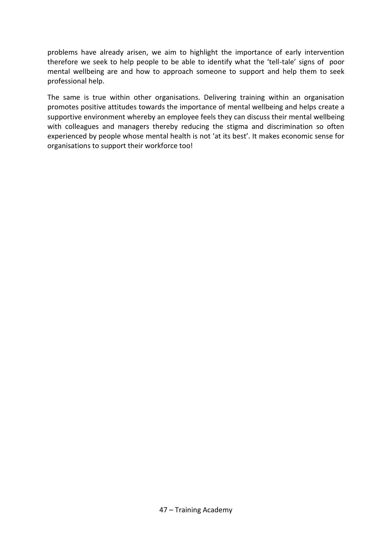problems have already arisen, we aim to highlight the importance of early intervention therefore we seek to help people to be able to identify what the 'tell-tale' signs of poor mental wellbeing are and how to approach someone to support and help them to seek professional help.

The same is true within other organisations. Delivering training within an organisation promotes positive attitudes towards the importance of mental wellbeing and helps create a supportive environment whereby an employee feels they can discuss their mental wellbeing with colleagues and managers thereby reducing the stigma and discrimination so often experienced by people whose mental health is not 'at its best'. It makes economic sense for organisations to support their workforce too!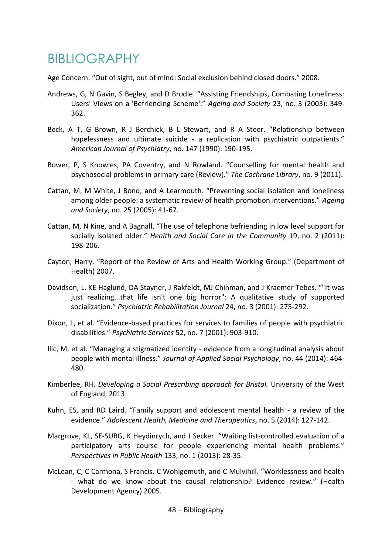# <span id="page-49-0"></span>BIBLIOGRAPHY

Age Concern. "Out of sight, out of mind: Social exclusion behind closed doors." 2008.

- Andrews, G, N Gavin, S Begley, and D Brodie. "Assisting Friendships, Combating Loneliness: Users' Views on a 'Befriending Scheme'." *Ageing and Society* 23, no. 3 (2003): 349- 362.
- Beck, A T, G Brown, R J Berchick, B L Stewart, and R A Steer. "Relationship between hopelessness and ultimate suicide - a replication with psychiatric outpatients." *American Journal of Psychiatry*, no. 147 (1990): 190-195.
- Bower, P, S Knowles, PA Coventry, and N Rowland. "Counselling for mental health and psychosocial problems in primary care (Review)." *The Cochrane Library*, no. 9 (2011).
- Cattan, M, M White, J Bond, and A Learmouth. "Preventing social isolation and loneliness among older people: a systematic review of health promotion interventions." *Ageing and Society*, no. 25 (2005): 41-67.
- Cattan, M, N Kine, and A Bagnall. "The use of telephone befriending in low level support for socially isolated older." *Health and Social Care in the Community* 19, no. 2 (2011): 198-206.
- Cayton, Harry. "Report of the Review of Arts and Health Working Group." (Department of Health) 2007.
- Davidson, L, KE Haglund, DA Stayner, J Rakfeldt, MJ Chinman, and J Kraemer Tebes. ""It was just realizing...that life isn't one big horror": A qualitative study of supported socialization." *Psychiatric Rehabilitation Journal* 24, no. 3 (2001): 275-292.
- Dixon, L, et al. "Evidence-based practices for services to families of people with psychiatric disabilities." *Psychiatric Services* 52, no. 7 (2001): 903-910.
- Ilic, M, et al. "Managing a stigmatized identity evidence from a longitudinal analysis about people with mental illness." *Journal of Applied Social Psychology*, no. 44 (2014): 464- 480.
- Kimberlee, RH. *Developing a Social Prescribing approach for Bristol.* University of the West of England, 2013.
- Kuhn, ES, and RD Laird. "Family support and adolescent mental health a review of the evidence." *Adolescent Health, Medicine and Therapeutics*, no. 5 (2014): 127-142.
- Margrove, KL, SE-SURG, K Heydinrych, and J Secker. "Waiting list-controlled evaluation of a participatory arts course for people experiencing mental health problems." *Perspectives in Public Health* 133, no. 1 (2013): 28-35.
- McLean, C, C Carmona, S Francis, C Wohlgemuth, and C Mulvihill. "Worklessness and health - what do we know about the causal relationship? Evidence review." (Health Development Agency) 2005.